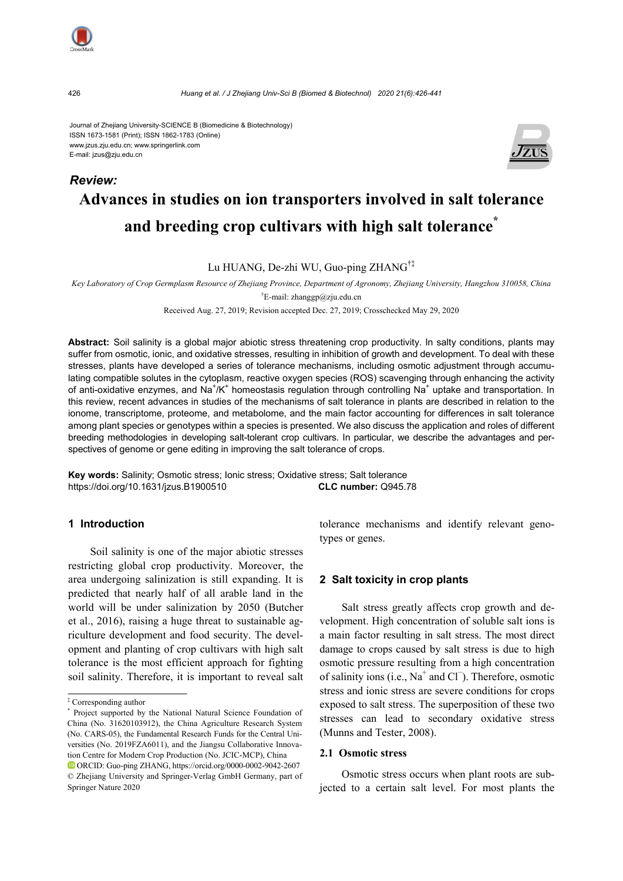

426 *Huang et al. / J Zhejiang Univ-Sci B (Biomed & Biotechnol) 2020 21(6):426-441*

Journal of Zhejiang University-SCIENCE B (Biomedicine & Biotechnology) ISSN 1673-1581 (Print); ISSN 1862-1783 (Online) www.jzus.zju.edu.cn; www.springerlink.com E-mail: jzus@zju.edu.cn



# **Advances in studies on ion transporters involved in salt tolerance and breeding crop cultivars with high salt tolerance\***

Lu HUANG, De-zhi WU, Guo-ping ZHANG†‡

*Key Laboratory of Crop Germplasm Resource of Zhejiang Province, Department of Agronomy, Zhejiang University, Hangzhou 310058, China*  † E-mail: zhanggp@zju.edu.cn

Received Aug. 27, 2019; Revision accepted Dec. 27, 2019; Crosschecked May 29, 2020

**Abstract:** Soil salinity is a global major abiotic stress threatening crop productivity. In salty conditions, plants may suffer from osmotic, ionic, and oxidative stresses, resulting in inhibition of growth and development. To deal with these stresses, plants have developed a series of tolerance mechanisms, including osmotic adjustment through accumulating compatible solutes in the cytoplasm, reactive oxygen species (ROS) scavenging through enhancing the activity of anti-oxidative enzymes, and Na<sup>+</sup>/K<sup>+</sup> homeostasis regulation through controlling Na<sup>+</sup> uptake and transportation. In this review, recent advances in studies of the mechanisms of salt tolerance in plants are described in relation to the ionome, transcriptome, proteome, and metabolome, and the main factor accounting for differences in salt tolerance among plant species or genotypes within a species is presented. We also discuss the application and roles of different breeding methodologies in developing salt-tolerant crop cultivars. In particular, we describe the advantages and perspectives of genome or gene editing in improving the salt tolerance of crops.

**Key words:** Salinity; Osmotic stress; Ionic stress; Oxidative stress; Salt tolerance https://doi.org/10.1631/jzus.B1900510 **CLC number:** Q945.78

## **1 Introduction**

Soil salinity is one of the major abiotic stresses restricting global crop productivity. Moreover, the area undergoing salinization is still expanding. It is predicted that nearly half of all arable land in the world will be under salinization by 2050 (Butcher et al., 2016), raising a huge threat to sustainable agriculture development and food security. The development and planting of crop cultivars with high salt tolerance is the most efficient approach for fighting soil salinity. Therefore, it is important to reveal salt tolerance mechanisms and identify relevant genotypes or genes.

## **2 Salt toxicity in crop plants**

Salt stress greatly affects crop growth and development. High concentration of soluble salt ions is a main factor resulting in salt stress. The most direct damage to crops caused by salt stress is due to high osmotic pressure resulting from a high concentration of salinity ions (i.e., Na<sup>+</sup> and Cl + O. Therefore, osmotic stress and ionic stress are severe conditions for crops exposed to salt stress. The superposition of these two stresses can lead to secondary oxidative stress (Munns and Tester, 2008).

## **2.1 Osmotic stress**

Osmotic stress occurs when plant roots are subjected to a certain salt level. For most plants the

*Review:* 

<sup>‡</sup> Corresponding author

<sup>\*</sup> Project supported by the National Natural Science Foundation of China (No. 31620103912), the China Agriculture Research System (No. CARS-05), the Fundamental Research Funds for the Central Universities (No. 2019FZA6011), and the Jiangsu Collaborative Innovation Centre for Modern Crop Production (No. JCIC-MCP), China ORCID: Guo-ping ZHANG, https://orcid.org/0000-0002-9042-2607 © Zhejiang University and Springer-Verlag GmbH Germany, part of Springer Nature 2020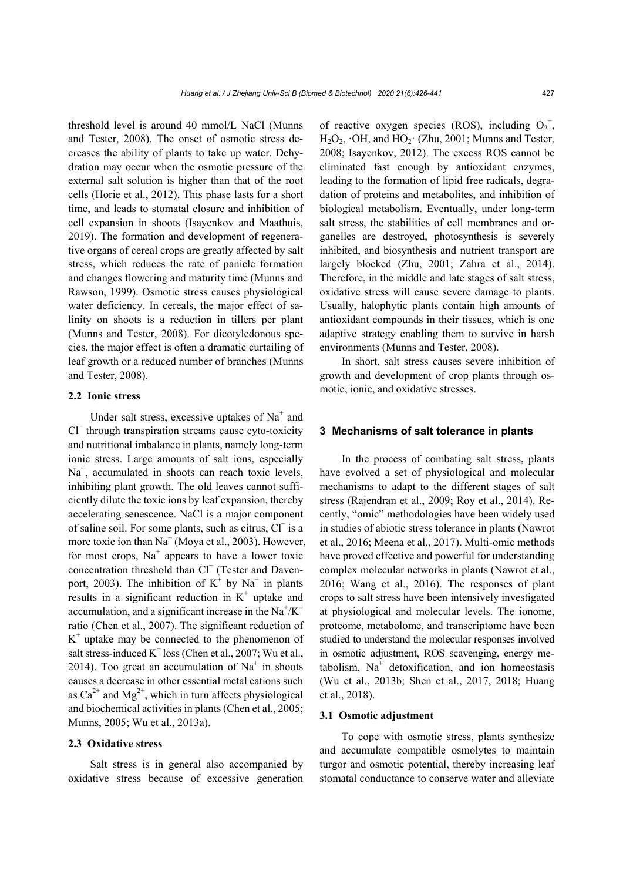threshold level is around 40 mmol/L NaCl (Munns and Tester, 2008). The onset of osmotic stress decreases the ability of plants to take up water. Dehydration may occur when the osmotic pressure of the external salt solution is higher than that of the root cells (Horie et al., 2012). This phase lasts for a short time, and leads to stomatal closure and inhibition of cell expansion in shoots (Isayenkov and Maathuis, 2019). The formation and development of regenerative organs of cereal crops are greatly affected by salt stress, which reduces the rate of panicle formation and changes flowering and maturity time (Munns and Rawson, 1999). Osmotic stress causes physiological water deficiency. In cereals, the major effect of salinity on shoots is a reduction in tillers per plant (Munns and Tester, 2008). For dicotyledonous species, the major effect is often a dramatic curtailing of leaf growth or a reduced number of branches (Munns and Tester, 2008).

## **2.2 Ionic stress**

Under salt stress, excessive uptakes of  $Na<sup>+</sup>$  and Cl<sup>−</sup> through transpiration streams cause cyto-toxicity and nutritional imbalance in plants, namely long-term ionic stress. Large amounts of salt ions, especially Na<sup>+</sup>, accumulated in shoots can reach toxic levels, inhibiting plant growth. The old leaves cannot sufficiently dilute the toxic ions by leaf expansion, thereby accelerating senescence. NaCl is a major component of saline soil. For some plants, such as citrus, Cl<sup>−</sup> is a more toxic ion than  $Na<sup>+</sup>$  (Moya et al., 2003). However, for most crops,  $Na<sup>+</sup>$  appears to have a lower toxic concentration threshold than Cl<sup>−</sup> (Tester and Davenport, 2003). The inhibition of  $K^+$  by  $Na^+$  in plants results in a significant reduction in  $K^+$  uptake and accumulation, and a significant increase in the  $Na^{+}/K^{+}$ ratio (Chen et al., 2007). The significant reduction of  $K<sup>+</sup>$  uptake may be connected to the phenomenon of salt stress-induced  $K^+$  loss (Chen et al., 2007; Wu et al., 2014). Too great an accumulation of  $Na<sup>+</sup>$  in shoots causes a decrease in other essential metal cations such as  $Ca^{2+}$  and  $Mg^{2+}$ , which in turn affects physiological and biochemical activities in plants (Chen et al., 2005; Munns, 2005; Wu et al., 2013a).

#### **2.3 Oxidative stress**

Salt stress is in general also accompanied by oxidative stress because of excessive generation

of reactive oxygen species (ROS), including  $O_2^-$ ,  $H_2O_2$ ,  $\cdot$ OH, and  $HO_2$  $\cdot$  (Zhu, 2001; Munns and Tester, 2008; Isayenkov, 2012). The excess ROS cannot be eliminated fast enough by antioxidant enzymes, leading to the formation of lipid free radicals, degradation of proteins and metabolites, and inhibition of biological metabolism. Eventually, under long-term salt stress, the stabilities of cell membranes and organelles are destroyed, photosynthesis is severely inhibited, and biosynthesis and nutrient transport are largely blocked (Zhu, 2001; Zahra et al., 2014). Therefore, in the middle and late stages of salt stress, oxidative stress will cause severe damage to plants. Usually, halophytic plants contain high amounts of antioxidant compounds in their tissues, which is one adaptive strategy enabling them to survive in harsh environments (Munns and Tester, 2008).

In short, salt stress causes severe inhibition of growth and development of crop plants through osmotic, ionic, and oxidative stresses.

#### **3 Mechanisms of salt tolerance in plants**

In the process of combating salt stress, plants have evolved a set of physiological and molecular mechanisms to adapt to the different stages of salt stress (Rajendran et al., 2009; Roy et al., 2014). Recently, "omic" methodologies have been widely used in studies of abiotic stress tolerance in plants (Nawrot et al., 2016; Meena et al., 2017). Multi-omic methods have proved effective and powerful for understanding complex molecular networks in plants (Nawrot et al., 2016; Wang et al., 2016). The responses of plant crops to salt stress have been intensively investigated at physiological and molecular levels. The ionome, proteome, metabolome, and transcriptome have been studied to understand the molecular responses involved in osmotic adjustment, ROS scavenging, energy metabolism,  $Na<sup>+</sup>$  detoxification, and ion homeostasis (Wu et al., 2013b; Shen et al., 2017, 2018; Huang et al., 2018).

#### **3.1 Osmotic adjustment**

To cope with osmotic stress, plants synthesize and accumulate compatible osmolytes to maintain turgor and osmotic potential, thereby increasing leaf stomatal conductance to conserve water and alleviate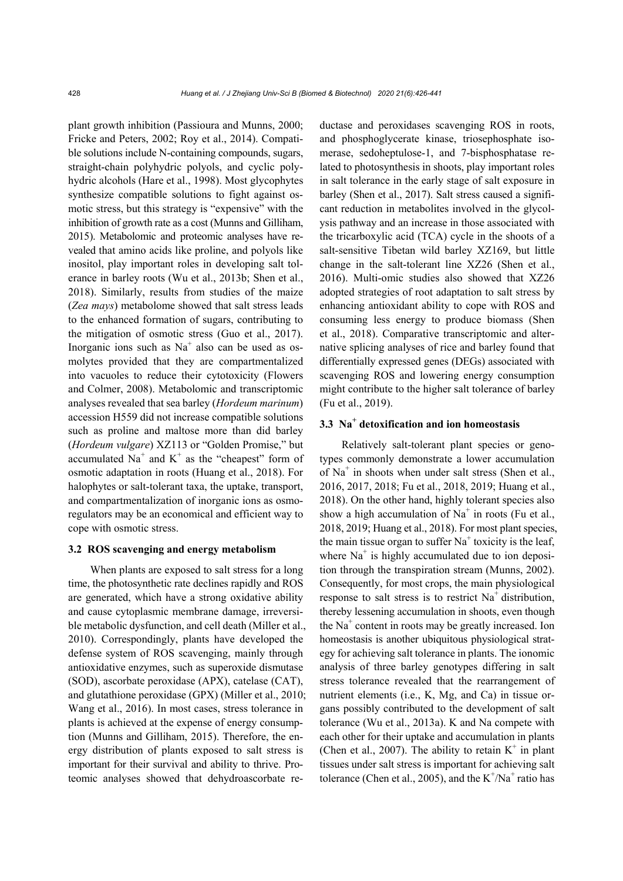plant growth inhibition (Passioura and Munns, 2000; Fricke and Peters, 2002; Roy et al., 2014). Compatible solutions include N-containing compounds, sugars, straight-chain polyhydric polyols, and cyclic polyhydric alcohols (Hare et al., 1998). Most glycophytes synthesize compatible solutions to fight against osmotic stress, but this strategy is "expensive" with the inhibition of growth rate as a cost (Munns and Gilliham, 2015). Metabolomic and proteomic analyses have revealed that amino acids like proline, and polyols like inositol, play important roles in developing salt tolerance in barley roots (Wu et al., 2013b; Shen et al., 2018). Similarly, results from studies of the maize (*Zea mays*) metabolome showed that salt stress leads to the enhanced formation of sugars, contributing to the mitigation of osmotic stress (Guo et al., 2017). Inorganic ions such as  $Na<sup>+</sup>$  also can be used as osmolytes provided that they are compartmentalized into vacuoles to reduce their cytotoxicity (Flowers and Colmer, 2008). Metabolomic and transcriptomic analyses revealed that sea barley (*Hordeum marinum*) accession H559 did not increase compatible solutions such as proline and maltose more than did barley (*Hordeum vulgare*) XZ113 or "Golden Promise," but accumulated Na<sup>+</sup> and K<sup>+</sup> as the "cheapest" form of osmotic adaptation in roots (Huang et al., 2018). For halophytes or salt-tolerant taxa, the uptake, transport, and compartmentalization of inorganic ions as osmoregulators may be an economical and efficient way to cope with osmotic stress.

#### **3.2 ROS scavenging and energy metabolism**

When plants are exposed to salt stress for a long time, the photosynthetic rate declines rapidly and ROS are generated, which have a strong oxidative ability and cause cytoplasmic membrane damage, irreversible metabolic dysfunction, and cell death (Miller et al., 2010). Correspondingly, plants have developed the defense system of ROS scavenging, mainly through antioxidative enzymes, such as superoxide dismutase (SOD), ascorbate peroxidase (APX), catelase (CAT), and glutathione peroxidase (GPX) (Miller et al., 2010; Wang et al., 2016). In most cases, stress tolerance in plants is achieved at the expense of energy consumption (Munns and Gilliham, 2015). Therefore, the energy distribution of plants exposed to salt stress is important for their survival and ability to thrive. Proteomic analyses showed that dehydroascorbate reductase and peroxidases scavenging ROS in roots, and phosphoglycerate kinase, triosephosphate isomerase, sedoheptulose-1, and 7-bisphosphatase related to photosynthesis in shoots, play important roles in salt tolerance in the early stage of salt exposure in barley (Shen et al., 2017). Salt stress caused a significant reduction in metabolites involved in the glycolysis pathway and an increase in those associated with the tricarboxylic acid (TCA) cycle in the shoots of a salt-sensitive Tibetan wild barley XZ169, but little change in the salt-tolerant line XZ26 (Shen et al., 2016). Multi-omic studies also showed that XZ26 adopted strategies of root adaptation to salt stress by enhancing antioxidant ability to cope with ROS and consuming less energy to produce biomass (Shen et al., 2018). Comparative transcriptomic and alternative splicing analyses of rice and barley found that differentially expressed genes (DEGs) associated with scavenging ROS and lowering energy consumption might contribute to the higher salt tolerance of barley (Fu et al., 2019).

## **3.3 Na<sup>+</sup> detoxification and ion homeostasis**

Relatively salt-tolerant plant species or genotypes commonly demonstrate a lower accumulation of Na<sup>+</sup> in shoots when under salt stress (Shen et al., 2016, 2017, 2018; Fu et al., 2018, 2019; Huang et al., 2018). On the other hand, highly tolerant species also show a high accumulation of  $Na<sup>+</sup>$  in roots (Fu et al., 2018, 2019; Huang et al., 2018). For most plant species, the main tissue organ to suffer  $Na<sup>+</sup>$  toxicity is the leaf, where  $Na<sup>+</sup>$  is highly accumulated due to ion deposition through the transpiration stream (Munns, 2002). Consequently, for most crops, the main physiological response to salt stress is to restrict  $Na<sup>+</sup>$  distribution, thereby lessening accumulation in shoots, even though the Na<sup>+</sup> content in roots may be greatly increased. Ion homeostasis is another ubiquitous physiological strategy for achieving salt tolerance in plants. The ionomic analysis of three barley genotypes differing in salt stress tolerance revealed that the rearrangement of nutrient elements (i.e., K, Mg, and Ca) in tissue organs possibly contributed to the development of salt tolerance (Wu et al., 2013a). K and Na compete with each other for their uptake and accumulation in plants (Chen et al., 2007). The ability to retain  $K^+$  in plant tissues under salt stress is important for achieving salt tolerance (Chen et al., 2005), and the  $K^+/Na^+$  ratio has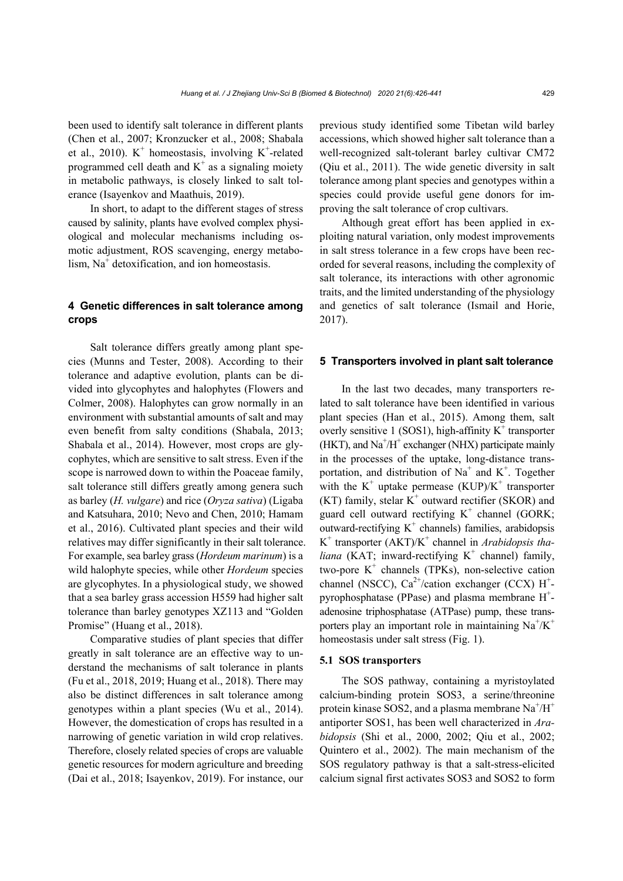been used to identify salt tolerance in different plants (Chen et al., 2007; Kronzucker et al., 2008; Shabala et al., 2010).  $K^+$  homeostasis, involving  $K^+$ -related programmed cell death and  $K^+$  as a signaling moiety in metabolic pathways, is closely linked to salt tolerance (Isayenkov and Maathuis, 2019).

In short, to adapt to the different stages of stress caused by salinity, plants have evolved complex physiological and molecular mechanisms including osmotic adjustment, ROS scavenging, energy metabolism, Na<sup>+</sup> detoxification, and ion homeostasis.

## **4 Genetic differences in salt tolerance among crops**

Salt tolerance differs greatly among plant species (Munns and Tester, 2008). According to their tolerance and adaptive evolution, plants can be divided into glycophytes and halophytes (Flowers and Colmer, 2008). Halophytes can grow normally in an environment with substantial amounts of salt and may even benefit from salty conditions (Shabala, 2013; Shabala et al., 2014). However, most crops are glycophytes, which are sensitive to salt stress. Even if the scope is narrowed down to within the Poaceae family, salt tolerance still differs greatly among genera such as barley (*H. vulgare*) and rice (*Oryza sativa*) (Ligaba and Katsuhara, 2010; Nevo and Chen, 2010; Hamam et al., 2016). Cultivated plant species and their wild relatives may differ significantly in their salt tolerance. For example, sea barley grass (*Hordeum marinum*) is a wild halophyte species, while other *Hordeum* species are glycophytes. In a physiological study, we showed that a sea barley grass accession H559 had higher salt tolerance than barley genotypes XZ113 and "Golden Promise" (Huang et al., 2018).

Comparative studies of plant species that differ greatly in salt tolerance are an effective way to understand the mechanisms of salt tolerance in plants (Fu et al., 2018, 2019; Huang et al., 2018). There may also be distinct differences in salt tolerance among genotypes within a plant species (Wu et al., 2014). However, the domestication of crops has resulted in a narrowing of genetic variation in wild crop relatives. Therefore, closely related species of crops are valuable genetic resources for modern agriculture and breeding (Dai et al., 2018; Isayenkov, 2019). For instance, our

previous study identified some Tibetan wild barley accessions, which showed higher salt tolerance than a well-recognized salt-tolerant barley cultivar CM72 (Qiu et al., 2011). The wide genetic diversity in salt tolerance among plant species and genotypes within a species could provide useful gene donors for improving the salt tolerance of crop cultivars.

Although great effort has been applied in exploiting natural variation, only modest improvements in salt stress tolerance in a few crops have been recorded for several reasons, including the complexity of salt tolerance, its interactions with other agronomic traits, and the limited understanding of the physiology and genetics of salt tolerance (Ismail and Horie, 2017).

## **5 Transporters involved in plant salt tolerance**

In the last two decades, many transporters related to salt tolerance have been identified in various plant species (Han et al., 2015). Among them, salt overly sensitive 1 (SOS1), high-affinity  $K^+$  transporter  $(HKT)$ , and  $Na<sup>+</sup>/H<sup>+</sup>$  exchanger (NHX) participate mainly in the processes of the uptake, long-distance transportation, and distribution of  $Na<sup>+</sup>$  and  $K<sup>+</sup>$ . Together with the  $K^+$  uptake permease (KUP)/ $K^+$  transporter  $(KT)$  family, stelar  $K^+$  outward rectifier (SKOR) and guard cell outward rectifying  $K^+$  channel (GORK; outward-rectifying  $K^+$  channels) families, arabidopsis K<sup>+</sup> transporter (AKT)/K<sup>+</sup> channel in *Arabidopsis tha* $liana$  (KAT; inward-rectifying  $K^+$  channel) family, two-pore  $K^+$  channels (TPKs), non-selective cation channel (NSCC),  $Ca^{2+}/cation$  exchanger (CCX) H<sup>+</sup>pyrophosphatase (PPase) and plasma membrane  $H^+$ adenosine triphosphatase (ATPase) pump, these transporters play an important role in maintaining  $Na^+/K^+$ homeostasis under salt stress (Fig. 1).

#### **5.1 SOS transporters**

The SOS pathway, containing a myristoylated calcium-binding protein SOS3, a serine/threonine protein kinase SOS2, and a plasma membrane  $Na<sup>+</sup>/H<sup>+</sup>$ antiporter SOS1, has been well characterized in *Arabidopsis* (Shi et al., 2000, 2002; Qiu et al., 2002; Quintero et al., 2002). The main mechanism of the SOS regulatory pathway is that a salt-stress-elicited calcium signal first activates SOS3 and SOS2 to form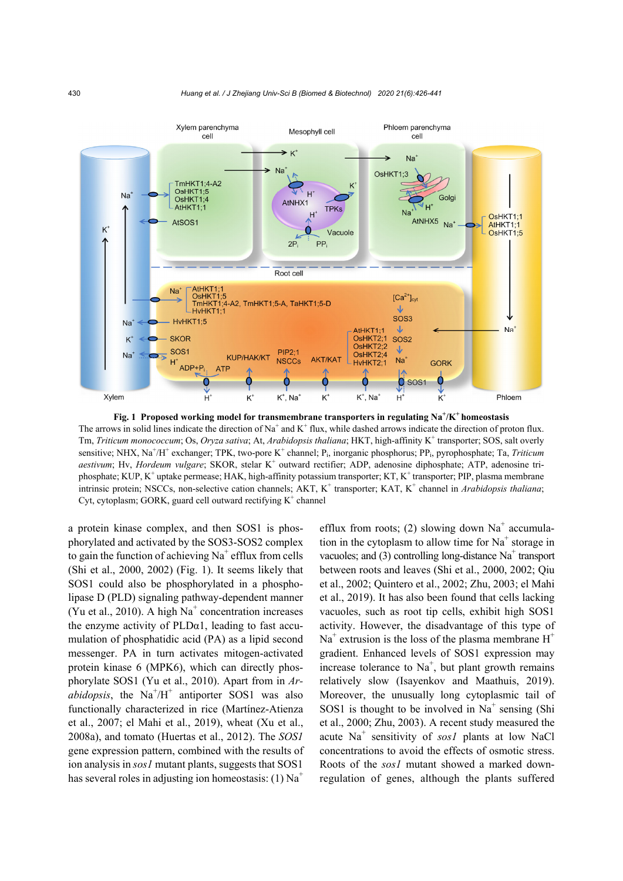

Fig. 1 Proposed working model for transmembrane transporters in regulating Na<sup>+</sup>/K<sup>+</sup> homeostasis The arrows in solid lines indicate the direction of Na<sup>+</sup> and K<sup>+</sup> flux, while dashed arrows indicate the direction of proton flux. Tm, *Triticum monococcum*; Os, *Oryza sativa*; At, *Arabidopsis thaliana*; HKT, high-affinity K<sup>+</sup> transporter; SOS, salt overly sensitive; NHX, Na<sup>+</sup>/H<sup>+</sup> exchanger; TPK, two-pore K<sup>+</sup> channel; P<sub>i</sub>, inorganic phosphorus; PP<sub>i</sub>, pyrophosphate; Ta, Triticum aestivum; Hv, *Hordeum vulgare*; SKOR, stelar K<sup>+</sup> outward rectifier; ADP, adenosine diphosphate; ATP, adenosine triphosphate; KUP, K<sup>+</sup> uptake permease; HAK, high-affinity potassium transporter; KT, K<sup>+</sup> transporter; PIP, plasma membrane intrinsic protein; NSCCs, non-selective cation channels; AKT, K<sup>+</sup> transporter; KAT, K<sup>+</sup> channel in *Arabidopsis thaliana*; Cyt, cytoplasm; GORK, guard cell outward rectifying  $K^+$  channel

a protein kinase complex, and then SOS1 is phosphorylated and activated by the SOS3-SOS2 complex to gain the function of achieving  $Na<sup>+</sup>$  efflux from cells (Shi et al., 2000, 2002) (Fig. 1). It seems likely that SOS1 could also be phosphorylated in a phospholipase D (PLD) signaling pathway-dependent manner (Yu et al., 2010). A high  $Na<sup>+</sup>$  concentration increases the enzyme activity of  $PLDa1$ , leading to fast accumulation of phosphatidic acid (PA) as a lipid second messenger. PA in turn activates mitogen-activated protein kinase 6 (MPK6), which can directly phosphorylate SOS1 (Yu et al., 2010). Apart from in *Ar* $abidopsis$ , the Na<sup>+</sup>/H<sup>+</sup> antiporter SOS1 was also functionally characterized in rice (Martínez-Atienza et al., 2007; el Mahi et al., 2019), wheat (Xu et al., 2008a), and tomato (Huertas et al., 2012). The *SOS1*  gene expression pattern, combined with the results of ion analysis in *sos1* mutant plants, suggests that SOS1 has several roles in adjusting ion homeostasis: (1)  $Na<sup>+</sup>$ 

efflux from roots; (2) slowing down  $Na<sup>+</sup>$  accumulation in the cytoplasm to allow time for  $Na<sup>+</sup>$  storage in vacuoles; and  $(3)$  controlling long-distance Na<sup>+</sup> transport between roots and leaves (Shi et al., 2000, 2002; Qiu et al., 2002; Quintero et al., 2002; Zhu, 2003; el Mahi et al., 2019). It has also been found that cells lacking vacuoles, such as root tip cells, exhibit high SOS1 activity. However, the disadvantage of this type of  $Na<sup>+</sup>$  extrusion is the loss of the plasma membrane  $H<sup>+</sup>$ gradient. Enhanced levels of SOS1 expression may increase tolerance to  $Na<sup>+</sup>$ , but plant growth remains relatively slow (Isayenkov and Maathuis, 2019). Moreover, the unusually long cytoplasmic tail of SOS1 is thought to be involved in  $Na<sup>+</sup>$  sensing (Shi et al., 2000; Zhu, 2003). A recent study measured the acute Na<sup>+</sup> sensitivity of *sos1* plants at low NaCl concentrations to avoid the effects of osmotic stress. Roots of the *sos1* mutant showed a marked downregulation of genes, although the plants suffered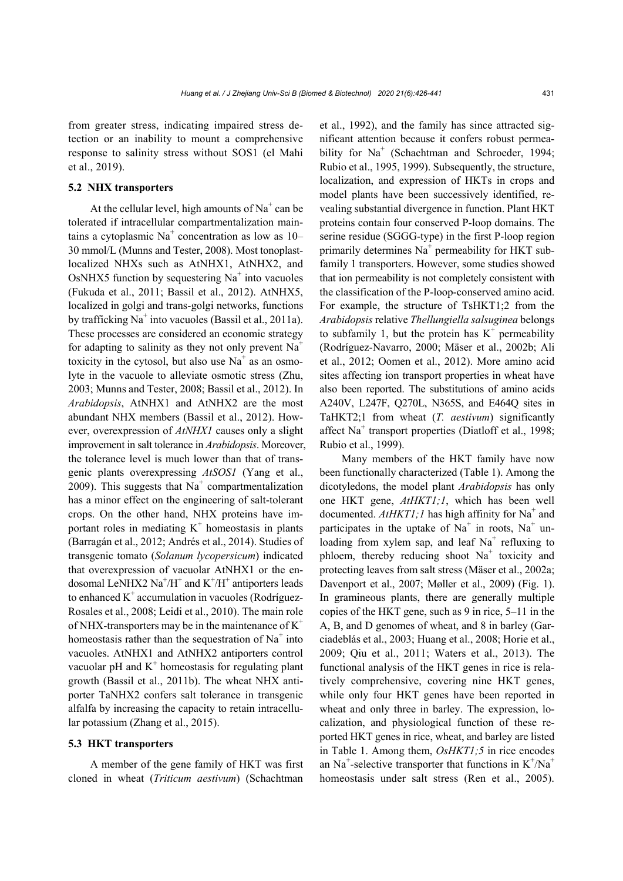from greater stress, indicating impaired stress detection or an inability to mount a comprehensive response to salinity stress without SOS1 (el Mahi et al., 2019).

## **5.2 NHX transporters**

At the cellular level, high amounts of  $Na<sup>+</sup>$  can be tolerated if intracellular compartmentalization maintains a cytoplasmic Na<sup>+</sup> concentration as low as 10– 30 mmol/L (Munns and Tester, 2008). Most tonoplastlocalized NHXs such as AtNHX1, AtNHX2, and OsNHX5 function by sequestering  $Na<sup>+</sup>$  into vacuoles (Fukuda et al., 2011; Bassil et al., 2012). AtNHX5, localized in golgi and trans-golgi networks, functions by trafficking Na<sup>+</sup> into vacuoles (Bassil et al., 2011a). These processes are considered an economic strategy for adapting to salinity as they not only prevent  $Na<sup>+</sup>$ toxicity in the cytosol, but also use  $Na<sup>+</sup>$  as an osmolyte in the vacuole to alleviate osmotic stress (Zhu, 2003; Munns and Tester, 2008; Bassil et al., 2012). In *Arabidopsis*, AtNHX1 and AtNHX2 are the most abundant NHX members (Bassil et al., 2012). However, overexpression of *AtNHX1* causes only a slight improvement in salt tolerance in *Arabidopsis*. Moreover, the tolerance level is much lower than that of transgenic plants overexpressing *AtSOS1* (Yang et al., 2009). This suggests that  $Na<sup>+</sup>$  compartmentalization has a minor effect on the engineering of salt-tolerant crops. On the other hand, NHX proteins have important roles in mediating  $K^+$  homeostasis in plants (Barragán et al., 2012; Andrés et al., 2014). Studies of transgenic tomato (*Solanum lycopersicum*) indicated that overexpression of vacuolar AtNHX1 or the endosomal LeNHX2  $\text{Na}^+/\text{H}^+$  and  $\text{K}^+/\text{H}^+$  antiporters leads to enhanced  $K^+$  accumulation in vacuoles (Rodríguez-Rosales et al., 2008; Leidi et al., 2010). The main role of NHX-transporters may be in the maintenance of  $K^+$ homeostasis rather than the sequestration of  $Na<sup>+</sup>$  into vacuoles. AtNHX1 and AtNHX2 antiporters control vacuolar pH and  $K^+$  homeostasis for regulating plant growth (Bassil et al., 2011b). The wheat NHX antiporter TaNHX2 confers salt tolerance in transgenic alfalfa by increasing the capacity to retain intracellular potassium (Zhang et al., 2015).

#### **5.3 HKT transporters**

A member of the gene family of HKT was first cloned in wheat (*Triticum aestivum*) (Schachtman

et al., 1992), and the family has since attracted significant attention because it confers robust permeability for Na<sup>+</sup> (Schachtman and Schroeder, 1994; Rubio et al., 1995, 1999). Subsequently, the structure, localization, and expression of HKTs in crops and model plants have been successively identified, revealing substantial divergence in function. Plant HKT proteins contain four conserved P-loop domains. The serine residue (SGGG-type) in the first P-loop region primarily determines  $Na<sup>+</sup>$  permeability for HKT subfamily 1 transporters. However, some studies showed that ion permeability is not completely consistent with the classification of the P-loop-conserved amino acid. For example, the structure of TsHKT1;2 from the *Arabidopsis* relative *Thellungiella salsuginea* belongs to subfamily 1, but the protein has  $K^+$  permeability (Rodríguez-Navarro, 2000; Mäser et al., 2002b; Ali et al., 2012; Oomen et al., 2012). More amino acid sites affecting ion transport properties in wheat have also been reported. The substitutions of amino acids A240V, L247F, Q270L, N365S, and E464Q sites in TaHKT2;1 from wheat (*T. aestivum*) significantly affect Na<sup>+</sup> transport properties (Diatloff et al., 1998; Rubio et al., 1999).

Many members of the HKT family have now been functionally characterized (Table 1). Among the dicotyledons, the model plant *Arabidopsis* has only one HKT gene, *AtHKT1;1*, which has been well documented.  $AtHKT1;1$  has high affinity for Na<sup>+</sup> and participates in the uptake of  $Na<sup>+</sup>$  in roots,  $Na<sup>+</sup>$  unloading from xylem sap, and leaf  $Na<sup>+</sup>$  refluxing to phloem, thereby reducing shoot  $Na<sup>+</sup>$  toxicity and protecting leaves from salt stress (Mäser et al., 2002a; Davenport et al., 2007; Møller et al., 2009) (Fig. 1). In gramineous plants, there are generally multiple copies of the HKT gene, such as 9 in rice, 5–11 in the A, B, and D genomes of wheat, and 8 in barley (Garciadeblás et al., 2003; Huang et al., 2008; Horie et al., 2009; Qiu et al., 2011; Waters et al., 2013). The functional analysis of the HKT genes in rice is relatively comprehensive, covering nine HKT genes, while only four HKT genes have been reported in wheat and only three in barley. The expression, localization, and physiological function of these reported HKT genes in rice, wheat, and barley are listed in Table 1. Among them, *OsHKT1;5* in rice encodes an Na<sup>+</sup>-selective transporter that functions in  $K^+/Na^+$ homeostasis under salt stress (Ren et al., 2005).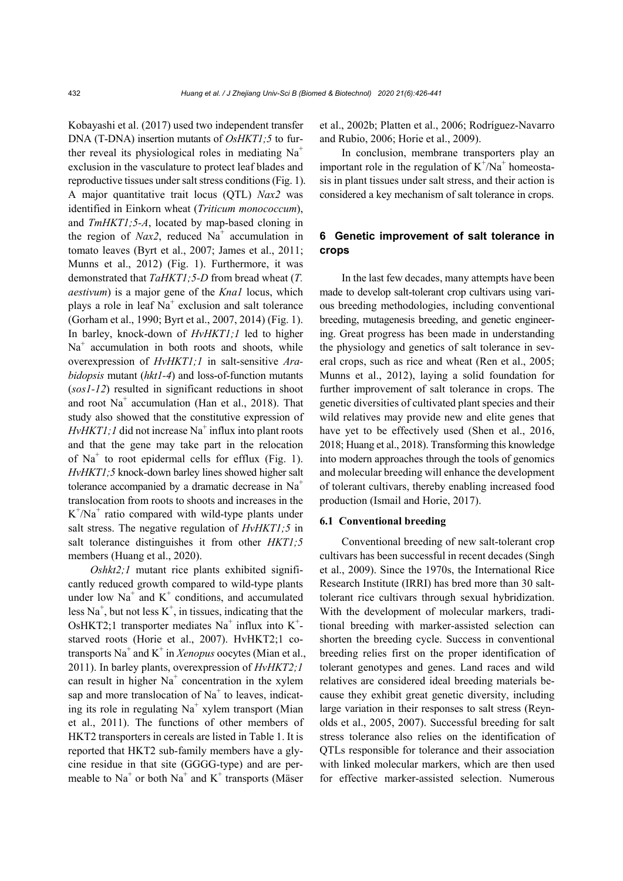Kobayashi et al. (2017) used two independent transfer DNA (T-DNA) insertion mutants of *OsHKT1;5* to further reveal its physiological roles in mediating  $Na<sup>+</sup>$ exclusion in the vasculature to protect leaf blades and reproductive tissues under salt stress conditions (Fig. 1). A major quantitative trait locus (QTL) *Nax2* was identified in Einkorn wheat (*Triticum monococcum*), and *TmHKT1;5-A*, located by map-based cloning in the region of  $Nax2$ , reduced  $Na<sup>+</sup>$  accumulation in tomato leaves (Byrt et al., 2007; James et al., 2011; Munns et al., 2012) (Fig. 1). Furthermore, it was demonstrated that *TaHKT1;5-D* from bread wheat (*T. aestivum*) is a major gene of the *Kna1* locus, which plays a role in leaf  $Na<sup>+</sup>$  exclusion and salt tolerance (Gorham et al., 1990; Byrt et al., 2007, 2014) (Fig. 1). In barley, knock-down of *HvHKT1;1* led to higher  $Na<sup>+</sup>$  accumulation in both roots and shoots, while overexpression of *HvHKT1;1* in salt-sensitive *Arabidopsis* mutant (*hkt1-4*) and loss-of-function mutants (*sos1-12*) resulted in significant reductions in shoot and root Na<sup>+</sup> accumulation (Han et al., 2018). That study also showed that the constitutive expression of  $HvHKT1; l$  did not increase Na<sup>+</sup> influx into plant roots and that the gene may take part in the relocation of Na<sup>+</sup> to root epidermal cells for efflux (Fig. 1). *HvHKT1;5* knock-down barley lines showed higher salt tolerance accompanied by a dramatic decrease in  $Na<sup>+</sup>$ translocation from roots to shoots and increases in the  $K^{+}/Na^{+}$  ratio compared with wild-type plants under salt stress. The negative regulation of *HvHKT1;5* in salt tolerance distinguishes it from other *HKT1;5* members (Huang et al., 2020).

*Oshkt2;1* mutant rice plants exhibited significantly reduced growth compared to wild-type plants under low  $Na<sup>+</sup>$  and  $K<sup>+</sup>$  conditions, and accumulated less  $Na<sup>+</sup>$ , but not less  $K<sup>+</sup>$ , in tissues, indicating that the OsHKT2;1 transporter mediates  $Na<sup>+</sup>$  influx into K<sup>+</sup>starved roots (Horie et al., 2007). HvHKT2;1 cotransports Na<sup>+</sup> and K<sup>+</sup> in *Xenopus* oocytes (Mian et al., 2011). In barley plants, overexpression of *HvHKT2;1* can result in higher  $Na<sup>+</sup>$  concentration in the xylem sap and more translocation of  $Na<sup>+</sup>$  to leaves, indicating its role in regulating Na<sup>+</sup> xylem transport (Mian et al., 2011). The functions of other members of HKT2 transporters in cereals are listed in Table 1. It is reported that HKT2 sub-family members have a glycine residue in that site (GGGG-type) and are permeable to  $Na<sup>+</sup>$  or both  $Na<sup>+</sup>$  and  $K<sup>+</sup>$  transports (Mäser

et al., 2002b; Platten et al., 2006; Rodríguez-Navarro and Rubio, 2006; Horie et al., 2009).

In conclusion, membrane transporters play an important role in the regulation of  $K^+/Na^+$  homeostasis in plant tissues under salt stress, and their action is considered a key mechanism of salt tolerance in crops.

## **6 Genetic improvement of salt tolerance in crops**

In the last few decades, many attempts have been made to develop salt-tolerant crop cultivars using various breeding methodologies, including conventional breeding, mutagenesis breeding, and genetic engineering. Great progress has been made in understanding the physiology and genetics of salt tolerance in several crops, such as rice and wheat (Ren et al., 2005; Munns et al., 2012), laying a solid foundation for further improvement of salt tolerance in crops. The genetic diversities of cultivated plant species and their wild relatives may provide new and elite genes that have yet to be effectively used (Shen et al., 2016, 2018; Huang et al., 2018). Transforming this knowledge into modern approaches through the tools of genomics and molecular breeding will enhance the development of tolerant cultivars, thereby enabling increased food production (Ismail and Horie, 2017).

#### **6.1 Conventional breeding**

Conventional breeding of new salt-tolerant crop cultivars has been successful in recent decades (Singh et al., 2009). Since the 1970s, the International Rice Research Institute (IRRI) has bred more than 30 salttolerant rice cultivars through sexual hybridization. With the development of molecular markers, traditional breeding with marker-assisted selection can shorten the breeding cycle. Success in conventional breeding relies first on the proper identification of tolerant genotypes and genes. Land races and wild relatives are considered ideal breeding materials because they exhibit great genetic diversity, including large variation in their responses to salt stress (Reynolds et al., 2005, 2007). Successful breeding for salt stress tolerance also relies on the identification of QTLs responsible for tolerance and their association with linked molecular markers, which are then used for effective marker-assisted selection. Numerous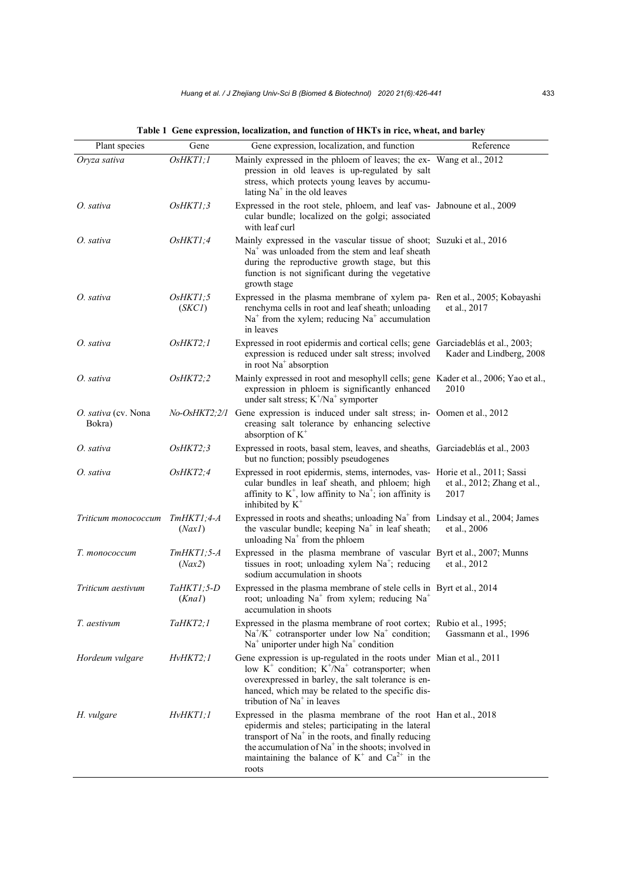| Plant species                 | Gene                   | Gene expression, localization, and function                                                                                                                                                                                                                                                            | Reference                           |
|-------------------------------|------------------------|--------------------------------------------------------------------------------------------------------------------------------------------------------------------------------------------------------------------------------------------------------------------------------------------------------|-------------------------------------|
| Oryza sativa                  | OsHKTI;1               | Mainly expressed in the phloem of leaves; the ex- Wang et al., 2012<br>pression in old leaves is up-regulated by salt<br>stress, which protects young leaves by accumu-<br>lating $Na+$ in the old leaves                                                                                              |                                     |
| O. sativa                     | OsHKT1;3               | Expressed in the root stele, phloem, and leaf vas- Jabnoune et al., 2009<br>cular bundle; localized on the golgi; associated<br>with leaf curl                                                                                                                                                         |                                     |
| O. sativa                     | OsHKT1;4               | Mainly expressed in the vascular tissue of shoot; Suzuki et al., 2016<br>$Na+$ was unloaded from the stem and leaf sheath<br>during the reproductive growth stage, but this<br>function is not significant during the vegetative<br>growth stage                                                       |                                     |
| O. sativa                     | OsHKT1;5<br>(SKCI)     | Expressed in the plasma membrane of xylem pa- Ren et al., 2005; Kobayashi<br>renchyma cells in root and leaf sheath; unloading<br>$Na+$ from the xylem; reducing $Na+$ accumulation<br>in leaves                                                                                                       | et al., 2017                        |
| O. sativa                     | OsHKT2;1               | Expressed in root epidermis and cortical cells; gene Garciadeblás et al., 2003;<br>expression is reduced under salt stress; involved<br>in root Na <sup>+</sup> absorption                                                                                                                             | Kader and Lindberg, 2008            |
| O. sativa                     | OsHKT2;2               | Mainly expressed in root and mesophyll cells; gene Kader et al., 2006; Yao et al.,<br>expression in phloem is significantly enhanced<br>under salt stress; $K^+/Na^+$ symporter                                                                                                                        | 2010                                |
| O. sativa (cv. Nona<br>Bokra) | <i>No-OsHKT2;2/1</i>   | Gene expression is induced under salt stress; in- Oomen et al., 2012<br>creasing salt tolerance by enhancing selective<br>absorption of $K^+$                                                                                                                                                          |                                     |
| O. sativa                     | OsHKT2;3               | Expressed in roots, basal stem, leaves, and sheaths, Garciadeblás et al., 2003<br>but no function; possibly pseudogenes                                                                                                                                                                                |                                     |
| O. sativa                     | $O$ s $HKT2;4$         | Expressed in root epidermis, stems, internodes, vas- Horie et al., 2011; Sassi<br>cular bundles in leaf sheath, and phloem; high<br>affinity to $K^+$ , low affinity to $Na^+$ ; ion affinity is<br>inhibited by $K^+$                                                                                 | et al., 2012; Zhang et al.,<br>2017 |
| Triticum monococcum           | $TmHKT1;4-A$<br>(Nax)  | Expressed in roots and sheaths; unloading $Na+$ from Lindsay et al., 2004; James<br>the vascular bundle; keeping Na <sup>+</sup> in leaf sheath;<br>unloading $Na+$ from the phloem                                                                                                                    | et al., 2006                        |
| Т. топососсит                 | $TmHKT1;5-A$<br>(Nax2) | Expressed in the plasma membrane of vascular Byrt et al., 2007; Munns<br>tissues in root; unloading xylem $Na^+$ ; reducing<br>sodium accumulation in shoots                                                                                                                                           | et al., 2012                        |
| Triticum aestivum             | TaHKT1;5-D<br>(KnaI)   | Expressed in the plasma membrane of stele cells in Byrt et al., 2014<br>root; unloading Na <sup>+</sup> from xylem; reducing Na <sup>+</sup><br>accumulation in shoots                                                                                                                                 |                                     |
| T. aestivum                   | TaHKT2;1               | Expressed in the plasma membrane of root cortex; Rubio et al., 1995;<br>$Na^{+}/K^{+}$ cotransporter under low $Na^{+}$ condition;<br>$Na+$ uniporter under high $Na+$ condition                                                                                                                       | Gassmann et al., 1996               |
| Hordeum vulgare               | HvHKT2;1               | Gene expression is up-regulated in the roots under Mian et al., 2011<br>low $K^+$ condition; $K^+/Na^+$ cotransporter; when<br>overexpressed in barley, the salt tolerance is en-<br>hanced, which may be related to the specific dis-<br>tribution of $Na+$ in leaves                                 |                                     |
| H. vulgare                    | HvHKTI;I               | Expressed in the plasma membrane of the root Han et al., 2018<br>epidermis and steles; participating in the lateral<br>transport of $Na+$ in the roots, and finally reducing<br>the accumulation of $Na+$ in the shoots; involved in<br>maintaining the balance of $K^+$ and $Ca^{2+}$ in the<br>roots |                                     |

**Table 1 Gene expression, localization, and function of HKTs in rice, wheat, and barley**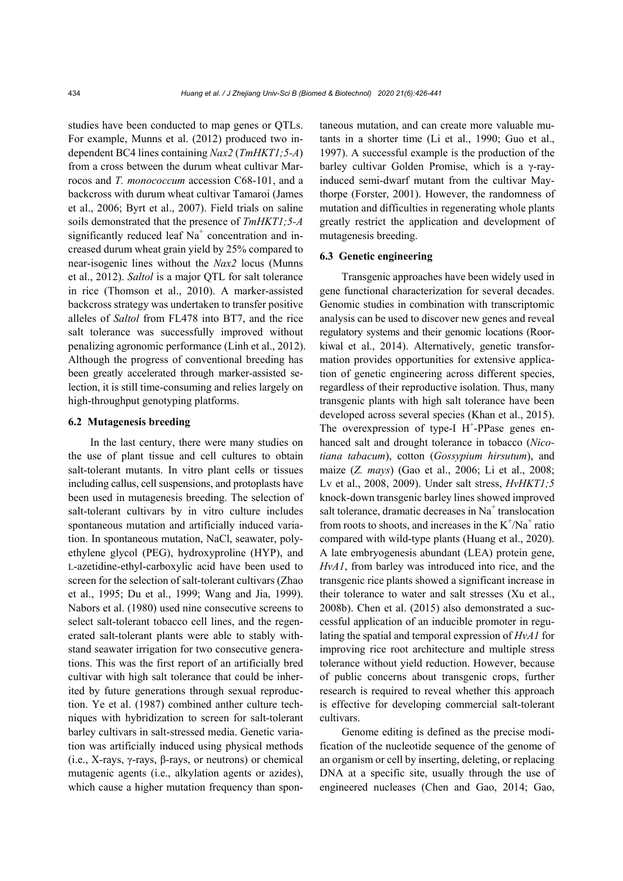studies have been conducted to map genes or QTLs. For example, Munns et al. (2012) produced two independent BC4 lines containing *Nax2* (*TmHKT1;5-A*) from a cross between the durum wheat cultivar Marrocos and *T. monococcum* accession C68-101, and a backcross with durum wheat cultivar Tamaroi (James et al., 2006; Byrt et al., 2007). Field trials on saline soils demonstrated that the presence of *TmHKT1;5-A* significantly reduced leaf  $Na<sup>+</sup>$  concentration and increased durum wheat grain yield by 25% compared to near-isogenic lines without the *Nax2* locus (Munns et al., 2012). *Saltol* is a major QTL for salt tolerance in rice (Thomson et al., 2010). A marker-assisted backcross strategy was undertaken to transfer positive alleles of *Saltol* from FL478 into BT7, and the rice salt tolerance was successfully improved without penalizing agronomic performance (Linh et al., 2012). Although the progress of conventional breeding has been greatly accelerated through marker-assisted selection, it is still time-consuming and relies largely on high-throughput genotyping platforms.

#### **6.2 Mutagenesis breeding**

In the last century, there were many studies on the use of plant tissue and cell cultures to obtain salt-tolerant mutants. In vitro plant cells or tissues including callus, cell suspensions, and protoplasts have been used in mutagenesis breeding. The selection of salt-tolerant cultivars by in vitro culture includes spontaneous mutation and artificially induced variation. In spontaneous mutation, NaCl, seawater, polyethylene glycol (PEG), hydroxyproline (HYP), and L-azetidine-ethyl-carboxylic acid have been used to screen for the selection of salt-tolerant cultivars (Zhao et al., 1995; Du et al., 1999; Wang and Jia, 1999). Nabors et al. (1980) used nine consecutive screens to select salt-tolerant tobacco cell lines, and the regenerated salt-tolerant plants were able to stably withstand seawater irrigation for two consecutive generations. This was the first report of an artificially bred cultivar with high salt tolerance that could be inherited by future generations through sexual reproduction. Ye et al. (1987) combined anther culture techniques with hybridization to screen for salt-tolerant barley cultivars in salt-stressed media. Genetic variation was artificially induced using physical methods (i.e., X-rays, γ-rays, β-rays, or neutrons) or chemical mutagenic agents (i.e., alkylation agents or azides), which cause a higher mutation frequency than spontaneous mutation, and can create more valuable mutants in a shorter time (Li et al., 1990; Guo et al., 1997). A successful example is the production of the barley cultivar Golden Promise, which is a γ-rayinduced semi-dwarf mutant from the cultivar Maythorpe (Forster, 2001). However, the randomness of mutation and difficulties in regenerating whole plants greatly restrict the application and development of mutagenesis breeding.

## **6.3 Genetic engineering**

Transgenic approaches have been widely used in gene functional characterization for several decades. Genomic studies in combination with transcriptomic analysis can be used to discover new genes and reveal regulatory systems and their genomic locations (Roorkiwal et al., 2014). Alternatively, genetic transformation provides opportunities for extensive application of genetic engineering across different species, regardless of their reproductive isolation. Thus, many transgenic plants with high salt tolerance have been developed across several species (Khan et al., 2015). The overexpression of type-I  $H^+$ -PPase genes enhanced salt and drought tolerance in tobacco (*Nicotiana tabacum*), cotton (*Gossypium hirsutum*), and maize (*Z. mays*) (Gao et al., 2006; Li et al., 2008; Lv et al., 2008, 2009). Under salt stress, *HvHKT1;5*  knock-down transgenic barley lines showed improved salt tolerance, dramatic decreases in Na<sup>+</sup> translocation from roots to shoots, and increases in the  $K^+/Na^+$  ratio compared with wild-type plants (Huang et al., 2020). A late embryogenesis abundant (LEA) protein gene, *HvA1*, from barley was introduced into rice, and the transgenic rice plants showed a significant increase in their tolerance to water and salt stresses (Xu et al., 2008b). Chen et al. (2015) also demonstrated a successful application of an inducible promoter in regulating the spatial and temporal expression of *HvA1* for improving rice root architecture and multiple stress tolerance without yield reduction. However, because of public concerns about transgenic crops, further research is required to reveal whether this approach is effective for developing commercial salt-tolerant cultivars.

Genome editing is defined as the precise modification of the nucleotide sequence of the genome of an organism or cell by inserting, deleting, or replacing DNA at a specific site, usually through the use of engineered nucleases (Chen and Gao, 2014; Gao,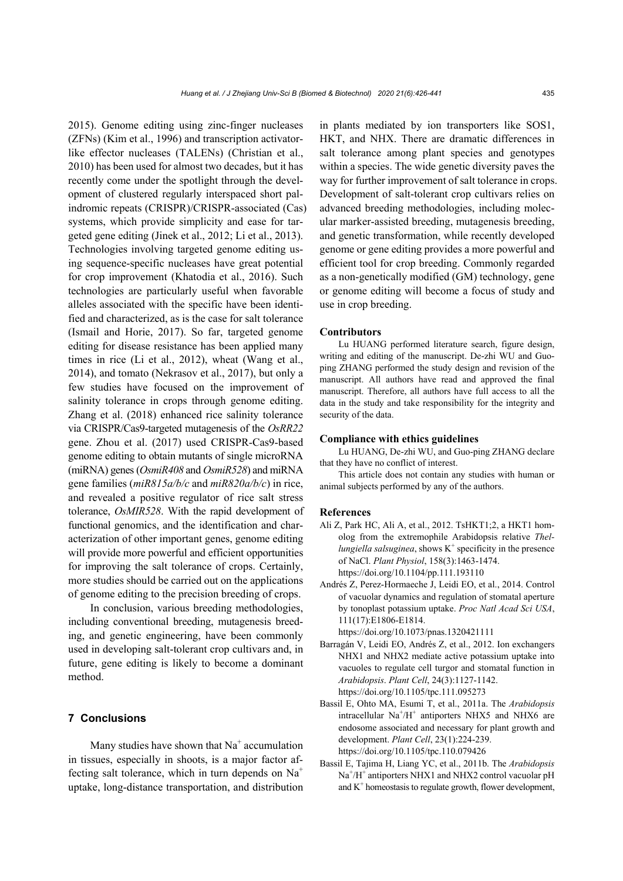2015). Genome editing using zinc-finger nucleases (ZFNs) (Kim et al., 1996) and transcription activatorlike effector nucleases (TALENs) (Christian et al., 2010) has been used for almost two decades, but it has recently come under the spotlight through the development of clustered regularly interspaced short palindromic repeats (CRISPR)/CRISPR-associated (Cas) systems, which provide simplicity and ease for targeted gene editing (Jinek et al., 2012; Li et al., 2013). Technologies involving targeted genome editing using sequence-specific nucleases have great potential for crop improvement (Khatodia et al., 2016). Such technologies are particularly useful when favorable alleles associated with the specific have been identified and characterized, as is the case for salt tolerance (Ismail and Horie, 2017). So far, targeted genome editing for disease resistance has been applied many times in rice (Li et al., 2012), wheat (Wang et al., 2014), and tomato (Nekrasov et al., 2017), but only a few studies have focused on the improvement of salinity tolerance in crops through genome editing. Zhang et al. (2018) enhanced rice salinity tolerance via CRISPR/Cas9-targeted mutagenesis of the *OsRR22* gene. Zhou et al. (2017) used CRISPR-Cas9-based genome editing to obtain mutants of single microRNA (miRNA) genes (*OsmiR408* and *OsmiR528*) and miRNA gene families (*miR815a/b/c* and *miR820a/b/c*) in rice, and revealed a positive regulator of rice salt stress tolerance, *OsMIR528*. With the rapid development of functional genomics, and the identification and characterization of other important genes, genome editing will provide more powerful and efficient opportunities for improving the salt tolerance of crops. Certainly, more studies should be carried out on the applications of genome editing to the precision breeding of crops.

In conclusion, various breeding methodologies, including conventional breeding, mutagenesis breeding, and genetic engineering, have been commonly used in developing salt-tolerant crop cultivars and, in future, gene editing is likely to become a dominant method.

## **7 Conclusions**

Many studies have shown that  $Na<sup>+</sup>$  accumulation in tissues, especially in shoots, is a major factor affecting salt tolerance, which in turn depends on  $Na<sup>+</sup>$ uptake, long-distance transportation, and distribution

in plants mediated by ion transporters like SOS1, HKT, and NHX. There are dramatic differences in salt tolerance among plant species and genotypes within a species. The wide genetic diversity paves the way for further improvement of salt tolerance in crops. Development of salt-tolerant crop cultivars relies on advanced breeding methodologies, including molecular marker-assisted breeding, mutagenesis breeding, and genetic transformation, while recently developed genome or gene editing provides a more powerful and efficient tool for crop breeding. Commonly regarded as a non-genetically modified (GM) technology, gene or genome editing will become a focus of study and use in crop breeding.

#### **Contributors**

Lu HUANG performed literature search, figure design, writing and editing of the manuscript. De-zhi WU and Guoping ZHANG performed the study design and revision of the manuscript. All authors have read and approved the final manuscript. Therefore, all authors have full access to all the data in the study and take responsibility for the integrity and security of the data.

#### **Compliance with ethics guidelines**

Lu HUANG, De-zhi WU, and Guo-ping ZHANG declare that they have no conflict of interest.

This article does not contain any studies with human or animal subjects performed by any of the authors.

#### **References**

- Ali Z, Park HC, Ali A, et al., 2012. TsHKT1;2, a HKT1 homolog from the extremophile Arabidopsis relative *Thel* $l$ ungiella salsuginea, shows  $K^+$  specificity in the presence of NaCl. *Plant Physiol*, 158(3):1463-1474. https://doi.org/10.1104/pp.111.193110
- Andrés Z, Perez-Hormaeche J, Leidi EO, et al., 2014. Control of vacuolar dynamics and regulation of stomatal aperture by tonoplast potassium uptake. *Proc Natl Acad Sci USA*, 111(17):E1806-E1814.

https://doi.org/10.1073/pnas.1320421111

- Barragán V, Leidi EO, Andrés Z, et al., 2012. Ion exchangers NHX1 and NHX2 mediate active potassium uptake into vacuoles to regulate cell turgor and stomatal function in *Arabidopsis*. *Plant Cell*, 24(3):1127-1142. https://doi.org/10.1105/tpc.111.095273
- Bassil E, Ohto MA, Esumi T, et al., 2011a. The *Arabidopsis* intracellular  $Na^{+}/H^{+}$  antiporters NHX5 and NHX6 are endosome associated and necessary for plant growth and development. *Plant Cell*, 23(1):224-239. https://doi.org/10.1105/tpc.110.079426
- Bassil E, Tajima H, Liang YC, et al., 2011b. The *Arabidopsis* Na<sup>+</sup>/H<sup>+</sup> antiporters NHX1 and NHX2 control vacuolar pH and  $K<sup>+</sup>$  homeostasis to regulate growth, flower development,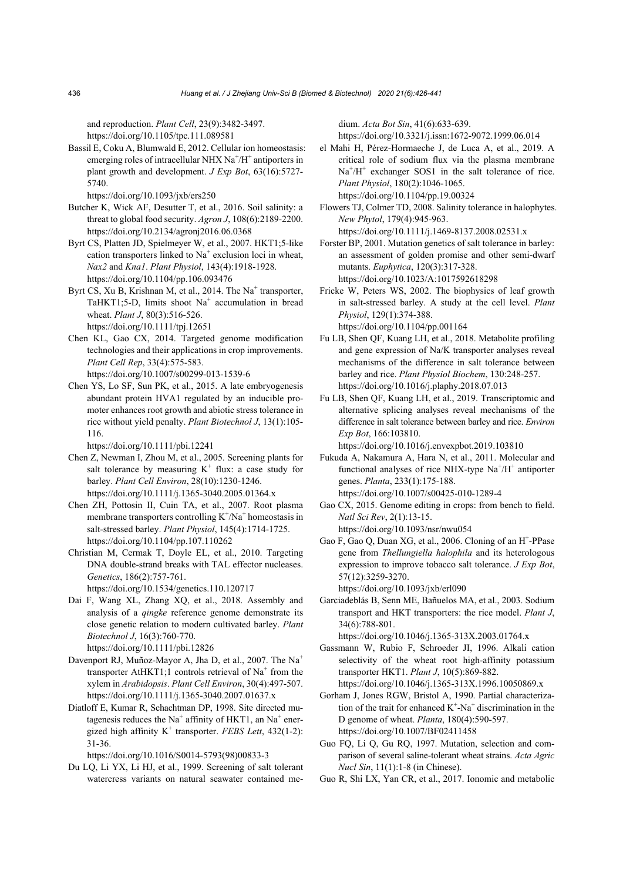and reproduction. *Plant Cell*, 23(9):3482-3497. https://doi.org/10.1105/tpc.111.089581

Bassil E, Coku A, Blumwald E, 2012. Cellular ion homeostasis: emerging roles of intracellular NHX Na<sup>+</sup>/H<sup>+</sup> antiporters in plant growth and development. *J Exp Bot*, 63(16):5727- 5740.

https://doi.org/10.1093/jxb/ers250

- Butcher K, Wick AF, Desutter T, et al., 2016. Soil salinity: a threat to global food security. *Agron J*, 108(6):2189-2200. https://doi.org/10.2134/agronj2016.06.0368
- Byrt CS, Platten JD, Spielmeyer W, et al., 2007. HKT1;5-like cation transporters linked to Na<sup>+</sup> exclusion loci in wheat, *Nax2* and *Kna1*. *Plant Physiol*, 143(4):1918-1928. https://doi.org/10.1104/pp.106.093476
- Byrt CS, Xu B, Krishnan M, et al., 2014. The Na<sup>+</sup> transporter, TaHKT1;5-D, limits shoot Na<sup>+</sup> accumulation in bread wheat. *Plant J*, 80(3):516-526. https://doi.org/10.1111/tpj.12651
- Chen KL, Gao CX, 2014. Targeted genome modification technologies and their applications in crop improvements. *Plant Cell Rep*, 33(4):575-583. https://doi.org/10.1007/s00299-013-1539-6
- Chen YS, Lo SF, Sun PK, et al., 2015. A late embryogenesis abundant protein HVA1 regulated by an inducible promoter enhances root growth and abiotic stress tolerance in rice without yield penalty. *Plant Biotechnol J*, 13(1):105- 116.

https://doi.org/10.1111/pbi.12241

- Chen Z, Newman I, Zhou M, et al., 2005. Screening plants for salt tolerance by measuring  $K^+$  flux: a case study for barley. *Plant Cell Environ*, 28(10):1230-1246. https://doi.org/10.1111/j.1365-3040.2005.01364.x
- Chen ZH, Pottosin II, Cuin TA, et al., 2007. Root plasma membrane transporters controlling  $K^+/Na^+$  homeostasis in salt-stressed barley. *Plant Physiol*, 145(4):1714-1725. https://doi.org/10.1104/pp.107.110262
- Christian M, Cermak T, Doyle EL, et al., 2010. Targeting DNA double-strand breaks with TAL effector nucleases. *Genetics*, 186(2):757-761. https://doi.org/10.1534/genetics.110.120717
- Dai F, Wang XL, Zhang XQ, et al., 2018. Assembly and analysis of a *qingke* reference genome demonstrate its close genetic relation to modern cultivated barley. *Plant Biotechnol J*, 16(3):760-770. https://doi.org/10.1111/pbi.12826
- Davenport RJ, Muñoz-Mayor A, Jha D, et al., 2007. The Na<sup>+</sup> transporter AtHKT1;1 controls retrieval of Na<sup>+</sup> from the xylem in *Arabidopsis*. *Plant Cell Environ*, 30(4):497-507. https://doi.org/10.1111/j.1365-3040.2007.01637.x
- Diatloff E, Kumar R, Schachtman DP, 1998. Site directed mutagenesis reduces the Na<sup>+</sup> affinity of HKT1, an Na<sup>+</sup> energized high affinity  $K^+$  transporter. *FEBS Lett*, 432(1-2): 31-36.

https://doi.org/10.1016/S0014-5793(98)00833-3

Du LQ, Li YX, Li HJ, et al., 1999. Screening of salt tolerant watercress variants on natural seawater contained medium. *Acta Bot Sin*, 41(6):633-639. https://doi.org/10.3321/j.issn:1672-9072.1999.06.014

el Mahi H, Pérez-Hormaeche J, de Luca A, et al., 2019. A critical role of sodium flux via the plasma membrane  $Na<sup>+</sup>/H<sup>+</sup>$  exchanger SOS1 in the salt tolerance of rice. *Plant Physiol*, 180(2):1046-1065. https://doi.org/10.1104/pp.19.00324

Flowers TJ, Colmer TD, 2008. Salinity tolerance in halophytes. *New Phytol*, 179(4):945-963. https://doi.org/10.1111/j.1469-8137.2008.02531.x

Forster BP, 2001. Mutation genetics of salt tolerance in barley: an assessment of golden promise and other semi-dwarf mutants. *Euphytica*, 120(3):317-328. https://doi.org/10.1023/A:1017592618298

- Fricke W, Peters WS, 2002. The biophysics of leaf growth in salt-stressed barley. A study at the cell level. *Plant Physiol*, 129(1):374-388. https://doi.org/10.1104/pp.001164
- Fu LB, Shen QF, Kuang LH, et al., 2018. Metabolite profiling and gene expression of Na/K transporter analyses reveal mechanisms of the difference in salt tolerance between barley and rice. *Plant Physiol Biochem*, 130:248-257. https://doi.org/10.1016/j.plaphy.2018.07.013
- Fu LB, Shen QF, Kuang LH, et al., 2019. Transcriptomic and alternative splicing analyses reveal mechanisms of the difference in salt tolerance between barley and rice. *Environ Exp Bot*, 166:103810.

https://doi.org/10.1016/j.envexpbot.2019.103810

- Fukuda A, Nakamura A, Hara N, et al., 2011. Molecular and functional analyses of rice NHX-type  $Na^+/H^+$  antiporter genes. *Planta*, 233(1):175-188. https://doi.org/10.1007/s00425-010-1289-4
- Gao CX, 2015. Genome editing in crops: from bench to field. *Natl Sci Rev*, 2(1):13-15. https://doi.org/10.1093/nsr/nwu054
- Gao F, Gao Q, Duan XG, et al., 2006. Cloning of an H<sup>+</sup>-PPase gene from *Thellungiella halophila* and its heterologous expression to improve tobacco salt tolerance. *J Exp Bot*, 57(12):3259-3270.

https://doi.org/10.1093/jxb/erl090

Garciadeblás B, Senn ME, Bañuelos MA, et al., 2003. Sodium transport and HKT transporters: the rice model. *Plant J*, 34(6):788-801.

https://doi.org/10.1046/j.1365-313X.2003.01764.x

- Gassmann W, Rubio F, Schroeder JI, 1996. Alkali cation selectivity of the wheat root high-affinity potassium transporter HKT1. *Plant J*, 10(5):869-882. https://doi.org/10.1046/j.1365-313X.1996.10050869.x
- Gorham J, Jones RGW, Bristol A, 1990. Partial characterization of the trait for enhanced  $K^+$ -Na<sup>+</sup> discrimination in the D genome of wheat. *Planta*, 180(4):590-597. https://doi.org/10.1007/BF02411458
- Guo FQ, Li Q, Gu RQ, 1997. Mutation, selection and comparison of several saline-tolerant wheat strains. *Acta Agric Nucl Sin*, 11(1):1-8 (in Chinese).
- Guo R, Shi LX, Yan CR, et al., 2017. Ionomic and metabolic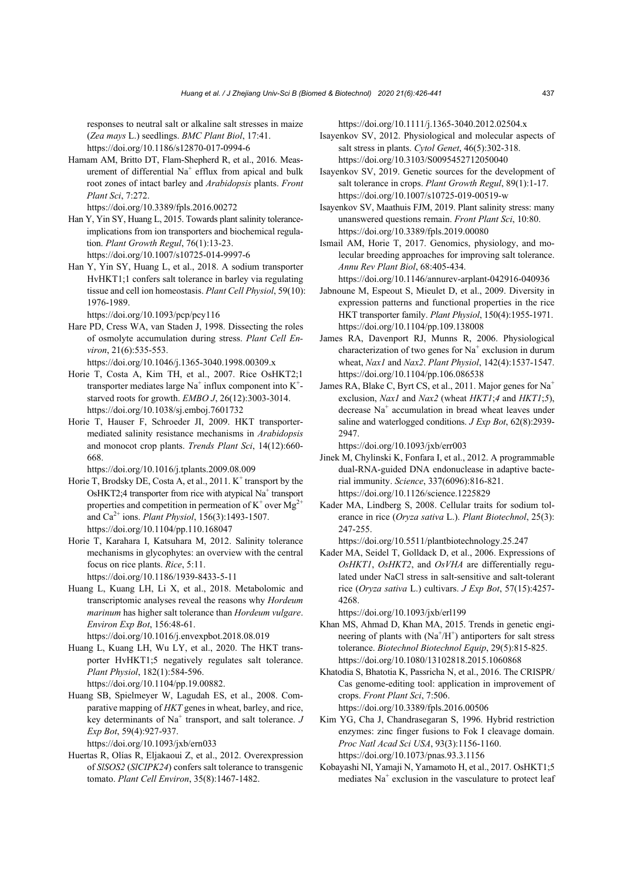responses to neutral salt or alkaline salt stresses in maize (*Zea mays* L.) seedlings. *BMC Plant Biol*, 17:41. https://doi.org/10.1186/s12870-017-0994-6

Hamam AM, Britto DT, Flam-Shepherd R, et al., 2016. Measurement of differential  $Na<sup>+</sup>$  efflux from apical and bulk root zones of intact barley and *Arabidopsis* plants. *Front Plant Sci*, 7:272.

https://doi.org/10.3389/fpls.2016.00272

- Han Y, Yin SY, Huang L, 2015. Towards plant salinity toleranceimplications from ion transporters and biochemical regulation. *Plant Growth Regul*, 76(1):13-23. https://doi.org/10.1007/s10725-014-9997-6
- Han Y, Yin SY, Huang L, et al., 2018. A sodium transporter HvHKT1;1 confers salt tolerance in barley via regulating tissue and cell ion homeostasis. *Plant Cell Physiol*, 59(10): 1976-1989.

https://doi.org/10.1093/pcp/pcy116

- Hare PD, Cress WA, van Staden J, 1998. Dissecting the roles of osmolyte accumulation during stress. *Plant Cell Environ*, 21(6):535-553. https://doi.org/10.1046/j.1365-3040.1998.00309.x
- Horie T, Costa A, Kim TH, et al., 2007. Rice OsHKT2;1 transporter mediates large  $Na<sup>+</sup>$  influx component into  $K<sup>+</sup>$ starved roots for growth. *EMBO J*, 26(12):3003-3014. https://doi.org/10.1038/sj.emboj.7601732
- Horie T, Hauser F, Schroeder JI, 2009. HKT transportermediated salinity resistance mechanisms in *Arabidopsis* and monocot crop plants. *Trends Plant Sci*, 14(12):660- 668.

https://doi.org/10.1016/j.tplants.2009.08.009

- Horie T, Brodsky DE, Costa A, et al.,  $2011$ . K<sup>+</sup> transport by the OsHKT2;4 transporter from rice with atypical Na<sup>+</sup> transport properties and competition in permeation of  $K^+$  over  $Mg^{2+}$ and Ca2+ ions. *Plant Physiol*, 156(3):1493-1507. https://doi.org/10.1104/pp.110.168047
- Horie T, Karahara I, Katsuhara M, 2012. Salinity tolerance mechanisms in glycophytes: an overview with the central focus on rice plants. *Rice*, 5:11. https://doi.org/10.1186/1939-8433-5-11
- Huang L, Kuang LH, Li X, et al., 2018. Metabolomic and transcriptomic analyses reveal the reasons why *Hordeum marinum* has higher salt tolerance than *Hordeum vulgare*. *Environ Exp Bot*, 156:48-61.

https://doi.org/10.1016/j.envexpbot.2018.08.019

- Huang L, Kuang LH, Wu LY, et al., 2020. The HKT transporter HvHKT1;5 negatively regulates salt tolerance. *Plant Physiol*, 182(1):584-596. https://doi.org/10.1104/pp.19.00882.
- Huang SB, Spielmeyer W, Lagudah ES, et al., 2008. Comparative mapping of *HKT* genes in wheat, barley, and rice, key determinants of Na<sup>+</sup> transport, and salt tolerance. *J Exp Bot*, 59(4):927-937.

https://doi.org/10.1093/jxb/ern033

Huertas R, Olías R, Eljakaoui Z, et al., 2012. Overexpression of *SlSOS2* (*SlCIPK24*) confers salt tolerance to transgenic tomato. *Plant Cell Environ*, 35(8):1467-1482.

https://doi.org/10.1111/j.1365-3040.2012.02504.x

- Isayenkov SV, 2012. Physiological and molecular aspects of salt stress in plants. *Cytol Genet*, 46(5):302-318. https://doi.org/10.3103/S0095452712050040
- Isayenkov SV, 2019. Genetic sources for the development of salt tolerance in crops. *Plant Growth Regul*, 89(1):1-17. https://doi.org/10.1007/s10725-019-00519-w
- Isayenkov SV, Maathuis FJM, 2019. Plant salinity stress: many unanswered questions remain. *Front Plant Sci*, 10:80. https://doi.org/10.3389/fpls.2019.00080
- Ismail AM, Horie T, 2017. Genomics, physiology, and molecular breeding approaches for improving salt tolerance. *Annu Rev Plant Biol*, 68:405-434.

https://doi.org/10.1146/annurev-arplant-042916-040936

- Jabnoune M, Espeout S, Mieulet D, et al., 2009. Diversity in expression patterns and functional properties in the rice HKT transporter family. *Plant Physiol*, 150(4):1955-1971. https://doi.org/10.1104/pp.109.138008
- James RA, Davenport RJ, Munns R, 2006. Physiological characterization of two genes for  $Na<sup>+</sup>$  exclusion in durum wheat, *Nax1* and *Nax2*. *Plant Physiol*, 142(4):1537-1547. https://doi.org/10.1104/pp.106.086538
- James RA, Blake C, Byrt CS, et al., 2011. Major genes for Na<sup>+</sup> exclusion, *Nax1* and *Nax2* (wheat *HKT1*;*4* and *HKT1*;*5*), decrease Na<sup>+</sup> accumulation in bread wheat leaves under saline and waterlogged conditions. *J Exp Bot*, 62(8):2939- 2947.

https://doi.org/10.1093/jxb/err003

- Jinek M, Chylinski K, Fonfara I, et al., 2012. A programmable dual-RNA-guided DNA endonuclease in adaptive bacterial immunity. *Science*, 337(6096):816-821. https://doi.org/10.1126/science.1225829
- Kader MA, Lindberg S, 2008. Cellular traits for sodium tolerance in rice (*Oryza sativa* L.). *Plant Biotechnol*, 25(3): 247-255.

https://doi.org/10.5511/plantbiotechnology.25.247

Kader MA, Seidel T, Golldack D, et al., 2006. Expressions of *OsHKT1*, *OsHKT2*, and *OsVHA* are differentially regulated under NaCl stress in salt-sensitive and salt-tolerant rice (*Oryza sativa* L.) cultivars. *J Exp Bot*, 57(15):4257- 4268.

https://doi.org/10.1093/jxb/erl199

- Khan MS, Ahmad D, Khan MA, 2015. Trends in genetic engineering of plants with  $(Na^+/H^+)$  antiporters for salt stress tolerance. *Biotechnol Biotechnol Equip*, 29(5):815-825. https://doi.org/10.1080/13102818.2015.1060868
- Khatodia S, Bhatotia K, Passricha N, et al., 2016. The CRISPR/ Cas genome-editing tool: application in improvement of crops. *Front Plant Sci*, 7:506. https://doi.org/10.3389/fpls.2016.00506
- Kim YG, Cha J, Chandrasegaran S, 1996. Hybrid restriction enzymes: zinc finger fusions to Fok I cleavage domain. *Proc Natl Acad Sci USA*, 93(3):1156-1160. https://doi.org/10.1073/pnas.93.3.1156
- Kobayashi NI, Yamaji N, Yamamoto H, et al., 2017. OsHKT1;5 mediates Na<sup>+</sup> exclusion in the vasculature to protect leaf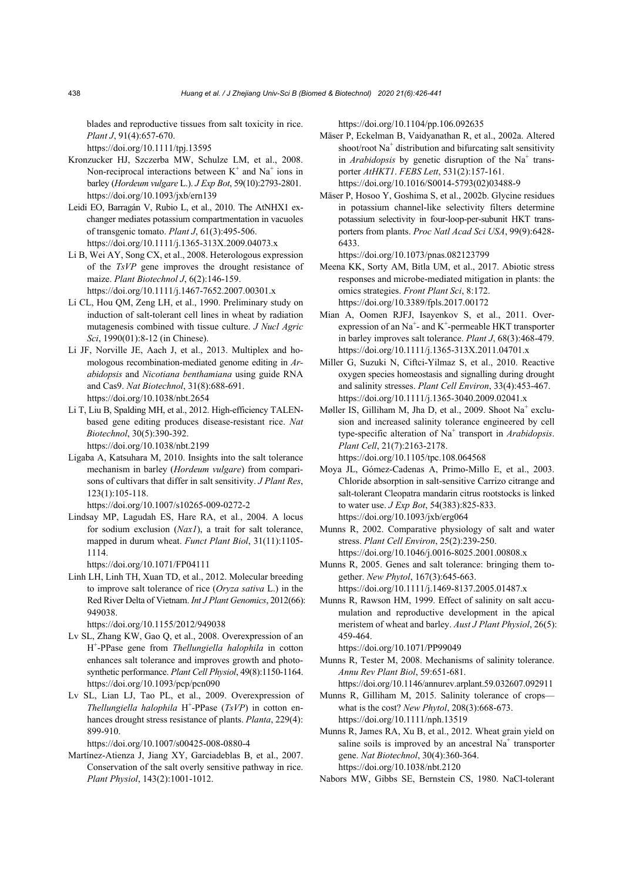blades and reproductive tissues from salt toxicity in rice. *Plant J*, 91(4):657-670.

https://doi.org/10.1111/tpj.13595

- Kronzucker HJ, Szczerba MW, Schulze LM, et al., 2008. Non-reciprocal interactions between  $K^+$  and  $Na^+$  ions in barley (*Hordeum vulgare* L.). *J Exp Bot*, 59(10):2793-2801. https://doi.org/10.1093/jxb/ern139
- Leidi EO, Barragán V, Rubio L, et al., 2010. The AtNHX1 exchanger mediates potassium compartmentation in vacuoles of transgenic tomato. *Plant J*, 61(3):495-506. https://doi.org/10.1111/j.1365-313X.2009.04073.x
- Li B, Wei AY, Song CX, et al., 2008. Heterologous expression of the *TsVP* gene improves the drought resistance of maize. *Plant Biotechnol J*, 6(2):146-159. https://doi.org/10.1111/j.1467-7652.2007.00301.x
- Li CL, Hou QM, Zeng LH, et al., 1990. Preliminary study on induction of salt-tolerant cell lines in wheat by radiation mutagenesis combined with tissue culture. *J Nucl Agric Sci*, 1990(01):8-12 (in Chinese).
- Li JF, Norville JE, Aach J, et al., 2013. Multiplex and homologous recombination-mediated genome editing in *Arabidopsis* and *Nicotiana benthamiana* using guide RNA and Cas9. *Nat Biotechnol*, 31(8):688-691. https://doi.org/10.1038/nbt.2654
- Li T, Liu B, Spalding MH, et al., 2012. High-efficiency TALENbased gene editing produces disease-resistant rice. *Nat Biotechnol*, 30(5):390-392.

https://doi.org/10.1038/nbt.2199

- Ligaba A, Katsuhara M, 2010. Insights into the salt tolerance mechanism in barley (*Hordeum vulgare*) from comparisons of cultivars that differ in salt sensitivity. *J Plant Res*, 123(1):105-118. https://doi.org/10.1007/s10265-009-0272-2
- Lindsay MP, Lagudah ES, Hare RA, et al., 2004. A locus for sodium exclusion (*Nax1*), a trait for salt tolerance, mapped in durum wheat. *Funct Plant Biol*, 31(11):1105- 1114.

https://doi.org/10.1071/FP04111

Linh LH, Linh TH, Xuan TD, et al., 2012. Molecular breeding to improve salt tolerance of rice (*Oryza sativa* L.) in the Red River Delta of Vietnam. *Int J Plant Genomics*, 2012(66): 949038.

https://doi.org/10.1155/2012/949038

- Lv SL, Zhang KW, Gao Q, et al., 2008. Overexpression of an H+ -PPase gene from *Thellungiella halophila* in cotton enhances salt tolerance and improves growth and photosynthetic performance. *Plant Cell Physiol*, 49(8):1150-1164. https://doi.org/10.1093/pcp/pcn090
- Lv SL, Lian LJ, Tao PL, et al., 2009. Overexpression of *Thellungiella halophila* H<sup>+</sup>-PPase (*TsVP*) in cotton enhances drought stress resistance of plants. *Planta*, 229(4): 899-910.

https://doi.org/10.1007/s00425-008-0880-4

Martínez-Atienza J, Jiang XY, Garciadeblas B, et al., 2007. Conservation of the salt overly sensitive pathway in rice. *Plant Physiol*, 143(2):1001-1012.

https://doi.org/10.1104/pp.106.092635

- Mäser P, Eckelman B, Vaidyanathan R, et al., 2002a. Altered shoot/root Na<sup>+</sup> distribution and bifurcating salt sensitivity in *Arabidopsis* by genetic disruption of the Na<sup>+</sup> transporter *AtHKT1*. *FEBS Lett*, 531(2):157-161. https://doi.org/10.1016/S0014-5793(02)03488-9
- Mäser P, Hosoo Y, Goshima S, et al., 2002b. Glycine residues in potassium channel-like selectivity filters determine potassium selectivity in four-loop-per-subunit HKT transporters from plants. *Proc Natl Acad Sci USA*, 99(9):6428- 6433.

https://doi.org/10.1073/pnas.082123799

- Meena KK, Sorty AM, Bitla UM, et al., 2017. Abiotic stress responses and microbe-mediated mitigation in plants: the omics strategies. *Front Plant Sci*, 8:172. https://doi.org/10.3389/fpls.2017.00172
- Mian A, Oomen RJFJ, Isayenkov S, et al., 2011. Overexpression of an Na<sup>+</sup>- and K<sup>+</sup>-permeable HKT transporter in barley improves salt tolerance. *Plant J*, 68(3):468-479. https://doi.org/10.1111/j.1365-313X.2011.04701.x
- Miller G, Suzuki N, Ciftci-Yilmaz S, et al., 2010. Reactive oxygen species homeostasis and signalling during drought and salinity stresses. *Plant Cell Environ*, 33(4):453-467. https://doi.org/10.1111/j.1365-3040.2009.02041.x
- Møller IS, Gilliham M, Jha D, et al., 2009. Shoot Na<sup>+</sup> exclusion and increased salinity tolerance engineered by cell type-specific alteration of Na<sup>+</sup> transport in *Arabidopsis*. *Plant Cell*, 21(7):2163-2178. https://doi.org/10.1105/tpc.108.064568

Moya JL, Gómez-Cadenas A, Primo-Millo E, et al., 2003.

- Chloride absorption in salt-sensitive Carrizo citrange and salt-tolerant Cleopatra mandarin citrus rootstocks is linked to water use. *J Exp Bot*, 54(383):825-833. https://doi.org/10.1093/jxb/erg064
- Munns R, 2002. Comparative physiology of salt and water stress. *Plant Cell Environ*, 25(2):239-250. https://doi.org/10.1046/j.0016-8025.2001.00808.x
- Munns R, 2005. Genes and salt tolerance: bringing them together. *New Phytol*, 167(3):645-663.

https://doi.org/10.1111/j.1469-8137.2005.01487.x

Munns R, Rawson HM, 1999. Effect of salinity on salt accumulation and reproductive development in the apical meristem of wheat and barley. *Aust J Plant Physiol*, 26(5): 459-464.

https://doi.org/10.1071/PP99049

- Munns R, Tester M, 2008. Mechanisms of salinity tolerance. *Annu Rev Plant Biol*, 59:651-681.
	- https://doi.org/10.1146/annurev.arplant.59.032607.092911
- Munns R, Gilliham M, 2015. Salinity tolerance of crops what is the cost? *New Phytol*, 208(3):668-673. https://doi.org/10.1111/nph.13519

Munns R, James RA, Xu B, et al., 2012. Wheat grain yield on saline soils is improved by an ancestral  $Na<sup>+</sup>$  transporter gene. *Nat Biotechnol*, 30(4):360-364. https://doi.org/10.1038/nbt.2120

Nabors MW, Gibbs SE, Bernstein CS, 1980. NaCl-tolerant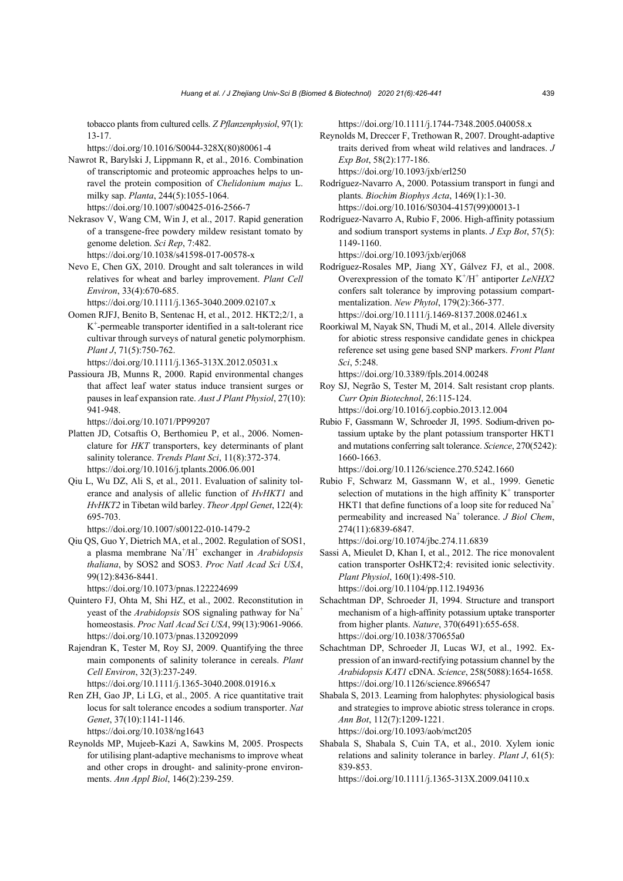tobacco plants from cultured cells. *Z Pflanzenphysiol*, 97(1): 13-17.

https://doi.org/10.1016/S0044-328X(80)80061-4

- Nawrot R, Barylski J, Lippmann R, et al., 2016. Combination of transcriptomic and proteomic approaches helps to unravel the protein composition of *Chelidonium majus* L. milky sap. *Planta*, 244(5):1055-1064. https://doi.org/10.1007/s00425-016-2566-7
- Nekrasov V, Wang CM, Win J, et al., 2017. Rapid generation of a transgene-free powdery mildew resistant tomato by genome deletion. *Sci Rep*, 7:482. https://doi.org/10.1038/s41598-017-00578-x
- Nevo E, Chen GX, 2010. Drought and salt tolerances in wild relatives for wheat and barley improvement. *Plant Cell Environ*, 33(4):670-685.

https://doi.org/10.1111/j.1365-3040.2009.02107.x

- Oomen RJFJ, Benito B, Sentenac H, et al., 2012. HKT2;2/1, a K+ -permeable transporter identified in a salt-tolerant rice cultivar through surveys of natural genetic polymorphism. *Plant J*, 71(5):750-762. https://doi.org/10.1111/j.1365-313X.2012.05031.x
- Passioura JB, Munns R, 2000. Rapid environmental changes that affect leaf water status induce transient surges or pauses in leaf expansion rate. *Aust J Plant Physiol*, 27(10): 941-948.

https://doi.org/10.1071/PP99207

- Platten JD, Cotsaftis O, Berthomieu P, et al., 2006. Nomenclature for *HKT* transporters, key determinants of plant salinity tolerance. *Trends Plant Sci*, 11(8):372-374. https://doi.org/10.1016/j.tplants.2006.06.001
- Qiu L, Wu DZ, Ali S, et al., 2011. Evaluation of salinity tolerance and analysis of allelic function of *HvHKT1* and *HvHKT2* in Tibetan wild barley. *Theor Appl Genet*, 122(4): 695-703.
	- https://doi.org/10.1007/s00122-010-1479-2
- Qiu QS, Guo Y, Dietrich MA, et al., 2002. Regulation of SOS1, a plasma membrane Na<sup>+</sup> /H+ exchanger in *Arabidopsis thaliana*, by SOS2 and SOS3. *Proc Natl Acad Sci USA*, 99(12):8436-8441.

https://doi.org/10.1073/pnas.122224699

- Quintero FJ, Ohta M, Shi HZ, et al., 2002. Reconstitution in yeast of the *Arabidopsis* SOS signaling pathway for Na<sup>+</sup> homeostasis. *Proc Natl Acad Sci USA*, 99(13):9061-9066. https://doi.org/10.1073/pnas.132092099
- Rajendran K, Tester M, Roy SJ, 2009. Quantifying the three main components of salinity tolerance in cereals. *Plant Cell Environ*, 32(3):237-249. https://doi.org/10.1111/j.1365-3040.2008.01916.x
- Ren ZH, Gao JP, Li LG, et al., 2005. A rice quantitative trait locus for salt tolerance encodes a sodium transporter. *Nat Genet*, 37(10):1141-1146. https://doi.org/10.1038/ng1643
- Reynolds MP, Mujeeb-Kazi A, Sawkins M, 2005. Prospects for utilising plant-adaptive mechanisms to improve wheat and other crops in drought- and salinity-prone environments. *Ann Appl Biol*, 146(2):239-259.

https://doi.org/10.1111/j.1744-7348.2005.040058.x

- Reynolds M, Dreccer F, Trethowan R, 2007. Drought-adaptive traits derived from wheat wild relatives and landraces. *J Exp Bot*, 58(2):177-186. https://doi.org/10.1093/jxb/erl250
- Rodríguez-Navarro A, 2000. Potassium transport in fungi and plants. *Biochim Biophys Acta*, 1469(1):1-30. https://doi.org/10.1016/S0304-4157(99)00013-1
- Rodríguez-Navarro A, Rubio F, 2006. High-affinity potassium and sodium transport systems in plants. *J Exp Bot*, 57(5): 1149-1160.

https://doi.org/10.1093/jxb/erj068

- Rodríguez-Rosales MP, Jiang XY, Gálvez FJ, et al., 2008. Overexpression of the tomato  $K^{+}/H^{+}$  antiporter *LeNHX2* confers salt tolerance by improving potassium compartmentalization. *New Phytol*, 179(2):366-377. https://doi.org/10.1111/j.1469-8137.2008.02461.x
- Roorkiwal M, Nayak SN, Thudi M, et al., 2014. Allele diversity for abiotic stress responsive candidate genes in chickpea reference set using gene based SNP markers. *Front Plant Sci*, 5:248.

https://doi.org/10.3389/fpls.2014.00248

Roy SJ, Negrão S, Tester M, 2014. Salt resistant crop plants. *Curr Opin Biotechnol*, 26:115-124. https://doi.org/10.1016/j.copbio.2013.12.004

Rubio F, Gassmann W, Schroeder JI, 1995. Sodium-driven potassium uptake by the plant potassium transporter HKT1

and mutations conferring salt tolerance. *Science*, 270(5242): 1660-1663.

https://doi.org/10.1126/science.270.5242.1660

Rubio F, Schwarz M, Gassmann W, et al., 1999. Genetic selection of mutations in the high affinity  $K^+$  transporter HKT1 that define functions of a loop site for reduced  $Na<sup>+</sup>$ permeability and increased Na<sup>+</sup> tolerance. *J Biol Chem*, 274(11):6839-6847.

https://doi.org/10.1074/jbc.274.11.6839

- Sassi A, Mieulet D, Khan I, et al., 2012. The rice monovalent cation transporter OsHKT2;4: revisited ionic selectivity. *Plant Physiol*, 160(1):498-510. https://doi.org/10.1104/pp.112.194936
- Schachtman DP, Schroeder JI, 1994. Structure and transport mechanism of a high-affinity potassium uptake transporter from higher plants. *Nature*, 370(6491):655-658. https://doi.org/10.1038/370655a0
- Schachtman DP, Schroeder JI, Lucas WJ, et al., 1992. Expression of an inward-rectifying potassium channel by the *Arabidopsis KAT1* cDNA. *Science*, 258(5088):1654-1658. https://doi.org/10.1126/science.8966547

Shabala S, 2013. Learning from halophytes: physiological basis and strategies to improve abiotic stress tolerance in crops. *Ann Bot*, 112(7):1209-1221. https://doi.org/10.1093/aob/mct205

Shabala S, Shabala S, Cuin TA, et al., 2010. Xylem ionic relations and salinity tolerance in barley. *Plant J*, 61(5): 839-853.

https://doi.org/10.1111/j.1365-313X.2009.04110.x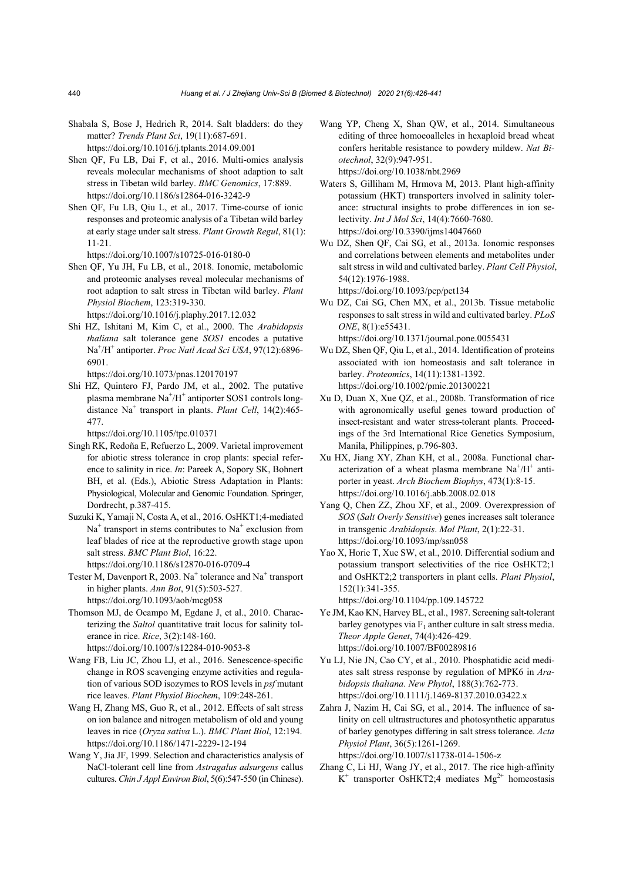- Shabala S, Bose J, Hedrich R, 2014. Salt bladders: do they matter? *Trends Plant Sci*, 19(11):687-691. https://doi.org/10.1016/j.tplants.2014.09.001
- Shen QF, Fu LB, Dai F, et al., 2016. Multi-omics analysis reveals molecular mechanisms of shoot adaption to salt stress in Tibetan wild barley. *BMC Genomics*, 17:889. https://doi.org/10.1186/s12864-016-3242-9
- Shen QF, Fu LB, Qiu L, et al., 2017. Time-course of ionic responses and proteomic analysis of a Tibetan wild barley at early stage under salt stress. *Plant Growth Regul*, 81(1): 11-21.
	- https://doi.org/10.1007/s10725-016-0180-0
- Shen QF, Yu JH, Fu LB, et al., 2018. Ionomic, metabolomic and proteomic analyses reveal molecular mechanisms of root adaption to salt stress in Tibetan wild barley. *Plant Physiol Biochem*, 123:319-330.

https://doi.org/10.1016/j.plaphy.2017.12.032

Shi HZ, Ishitani M, Kim C, et al., 2000. The *Arabidopsis thaliana* salt tolerance gene *SOS1* encodes a putative Na<sup>+</sup> /H+ antiporter. *Proc Natl Acad Sci USA*, 97(12):6896- 6901.

https://doi.org/10.1073/pnas.120170197

Shi HZ, Quintero FJ, Pardo JM, et al., 2002. The putative plasma membrane Na<sup>+</sup>/H<sup>+</sup> antiporter SOS1 controls longdistance Na<sup>+</sup> transport in plants. *Plant Cell*, 14(2):465-477.

https://doi.org/10.1105/tpc.010371

- Singh RK, Redoña E, Refuerzo L, 2009. Varietal improvement for abiotic stress tolerance in crop plants: special reference to salinity in rice. *In*: Pareek A, Sopory SK, Bohnert BH, et al. (Eds.), Abiotic Stress Adaptation in Plants: Physiological, Molecular and Genomic Foundation. Springer, Dordrecht, p.387-415.
- Suzuki K, Yamaji N, Costa A, et al., 2016. OsHKT1;4-mediated  $Na<sup>+</sup>$  transport in stems contributes to  $Na<sup>+</sup>$  exclusion from leaf blades of rice at the reproductive growth stage upon salt stress. *BMC Plant Biol*, 16:22. https://doi.org/10.1186/s12870-016-0709-4
- Tester M, Davenport R, 2003. Na<sup>+</sup> tolerance and Na<sup>+</sup> transport in higher plants. *Ann Bot*, 91(5):503-527. https://doi.org/10.1093/aob/mcg058
- Thomson MJ, de Ocampo M, Egdane J, et al., 2010. Characterizing the *Saltol* quantitative trait locus for salinity tolerance in rice. *Rice*, 3(2):148-160.

https://doi.org/10.1007/s12284-010-9053-8

- Wang FB, Liu JC, Zhou LJ, et al., 2016. Senescence-specific change in ROS scavenging enzyme activities and regulation of various SOD isozymes to ROS levels in *psf* mutant rice leaves. *Plant Physiol Biochem*, 109:248-261.
- Wang H, Zhang MS, Guo R, et al., 2012. Effects of salt stress on ion balance and nitrogen metabolism of old and young leaves in rice (*Oryza sativa* L.). *BMC Plant Biol*, 12:194. https://doi.org/10.1186/1471-2229-12-194
- Wang Y, Jia JF, 1999. Selection and characteristics analysis of NaCl-tolerant cell line from *Astragalus adsurgens* callus cultures. *Chin J Appl Environ Biol*, 5(6):547-550 (in Chinese).
- Wang YP, Cheng X, Shan QW, et al., 2014. Simultaneous editing of three homoeoalleles in hexaploid bread wheat confers heritable resistance to powdery mildew. *Nat Biotechnol*, 32(9):947-951. https://doi.org/10.1038/nbt.2969
- Waters S, Gilliham M, Hrmova M, 2013. Plant high-affinity potassium (HKT) transporters involved in salinity tolerance: structural insights to probe differences in ion selectivity. *Int J Mol Sci*, 14(4):7660-7680. https://doi.org/10.3390/ijms14047660
- Wu DZ, Shen QF, Cai SG, et al., 2013a. Ionomic responses and correlations between elements and metabolites under salt stress in wild and cultivated barley. *Plant Cell Physiol*, 54(12):1976-1988. https://doi.org/10.1093/pcp/pct134
- Wu DZ, Cai SG, Chen MX, et al., 2013b. Tissue metabolic responses to salt stress in wild and cultivated barley. *PLoS ONE*, 8(1):e55431. https://doi.org/10.1371/journal.pone.0055431
- Wu DZ, Shen QF, Qiu L, et al., 2014. Identification of proteins associated with ion homeostasis and salt tolerance in barley. *Proteomics*, 14(11):1381-1392.
- https://doi.org/10.1002/pmic.201300221 Xu D, Duan X, Xue QZ, et al., 2008b. Transformation of rice with agronomically useful genes toward production of insect-resistant and water stress-tolerant plants. Proceedings of the 3rd International Rice Genetics Symposium, Manila, Philippines, p.796-803.
- Xu HX, Jiang XY, Zhan KH, et al., 2008a. Functional characterization of a wheat plasma membrane  $Na^{+}/H^{+}$  antiporter in yeast. *Arch Biochem Biophys*, 473(1):8-15. https://doi.org/10.1016/j.abb.2008.02.018
- Yang Q, Chen ZZ, Zhou XF, et al., 2009. Overexpression of *SOS* (*Salt Overly Sensitive*) genes increases salt tolerance in transgenic *Arabidopsis*. *Mol Plant*, 2(1):22-31. https://doi.org/10.1093/mp/ssn058
- Yao X, Horie T, Xue SW, et al., 2010. Differential sodium and potassium transport selectivities of the rice OsHKT2;1 and OsHKT2;2 transporters in plant cells. *Plant Physiol*, 152(1):341-355.

https://doi.org/10.1104/pp.109.145722

- Ye JM, Kao KN, Harvey BL, et al., 1987. Screening salt-tolerant barley genotypes via  $F_1$  anther culture in salt stress media. *Theor Apple Genet*, 74(4):426-429. https://doi.org/10.1007/BF00289816
- Yu LJ, Nie JN, Cao CY, et al., 2010. Phosphatidic acid mediates salt stress response by regulation of MPK6 in *Arabidopsis thaliana*. *New Phytol*, 188(3):762-773. https://doi.org/10.1111/j.1469-8137.2010.03422.x
- Zahra J, Nazim H, Cai SG, et al., 2014. The influence of salinity on cell ultrastructures and photosynthetic apparatus of barley genotypes differing in salt stress tolerance. *Acta Physiol Plant*, 36(5):1261-1269.

https://doi.org/10.1007/s11738-014-1506-z

Zhang C, Li HJ, Wang JY, et al., 2017. The rice high-affinity  $K^+$  transporter OsHKT2;4 mediates  $Mg^{2+}$  homeostasis